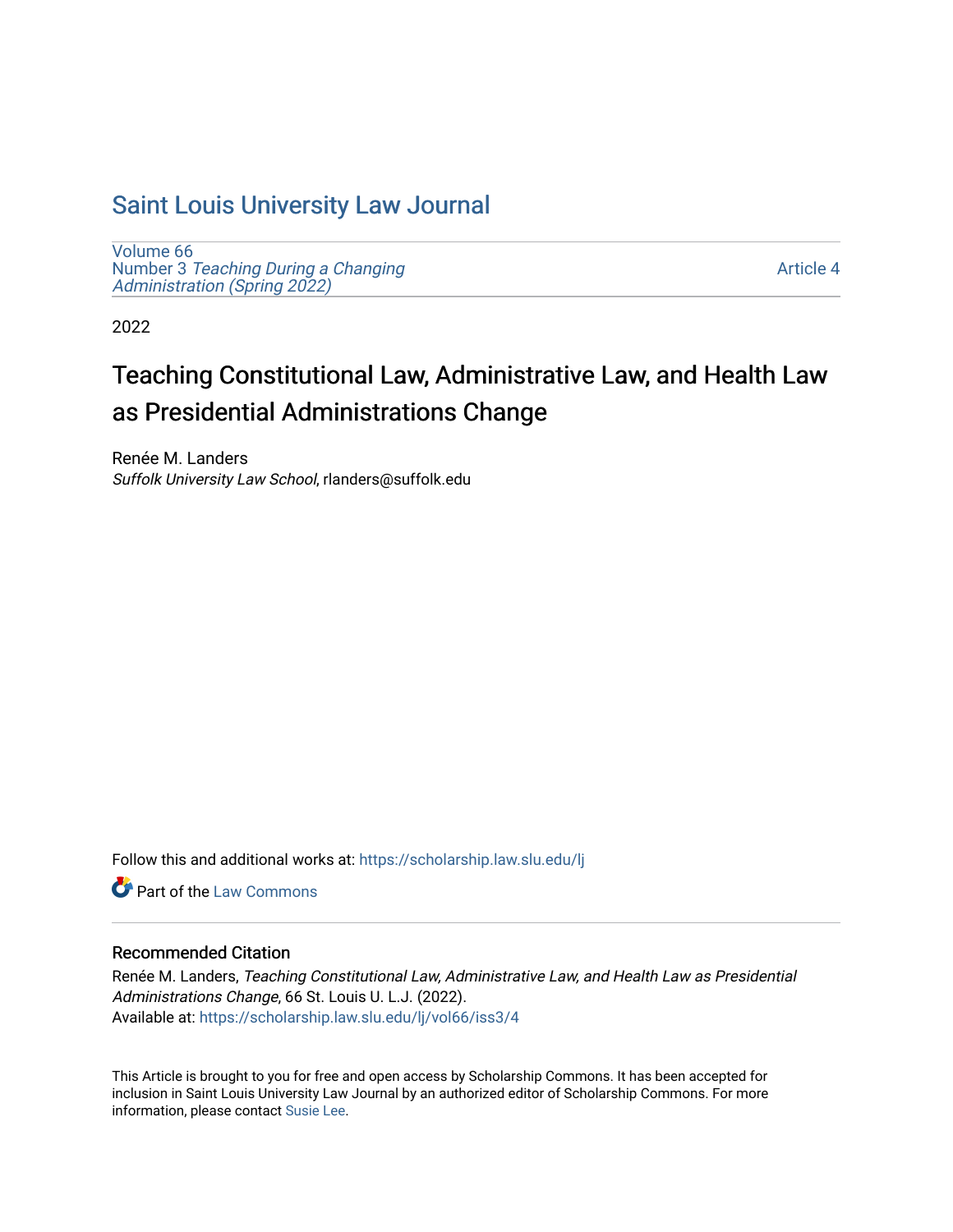## [Saint Louis University Law Journal](https://scholarship.law.slu.edu/lj)

[Volume 66](https://scholarship.law.slu.edu/lj/vol66) Number 3 [Teaching During a Changing](https://scholarship.law.slu.edu/lj/vol66/iss3)  Administration (Spring 2022)

[Article 4](https://scholarship.law.slu.edu/lj/vol66/iss3/4) 

2022

# Teaching Constitutional Law, Administrative Law, and Health Law as Presidential Administrations Change

Renée M. Landers Suffolk University Law School, rlanders@suffolk.edu

Follow this and additional works at: [https://scholarship.law.slu.edu/lj](https://scholarship.law.slu.edu/lj?utm_source=scholarship.law.slu.edu%2Flj%2Fvol66%2Fiss3%2F4&utm_medium=PDF&utm_campaign=PDFCoverPages) 

**C** Part of the [Law Commons](https://network.bepress.com/hgg/discipline/578?utm_source=scholarship.law.slu.edu%2Flj%2Fvol66%2Fiss3%2F4&utm_medium=PDF&utm_campaign=PDFCoverPages)

## Recommended Citation

Renée M. Landers, Teaching Constitutional Law, Administrative Law, and Health Law as Presidential Administrations Change, 66 St. Louis U. L.J. (2022). Available at: [https://scholarship.law.slu.edu/lj/vol66/iss3/4](https://scholarship.law.slu.edu/lj/vol66/iss3/4?utm_source=scholarship.law.slu.edu%2Flj%2Fvol66%2Fiss3%2F4&utm_medium=PDF&utm_campaign=PDFCoverPages) 

This Article is brought to you for free and open access by Scholarship Commons. It has been accepted for inclusion in Saint Louis University Law Journal by an authorized editor of Scholarship Commons. For more information, please contact [Susie Lee](mailto:susie.lee@slu.edu).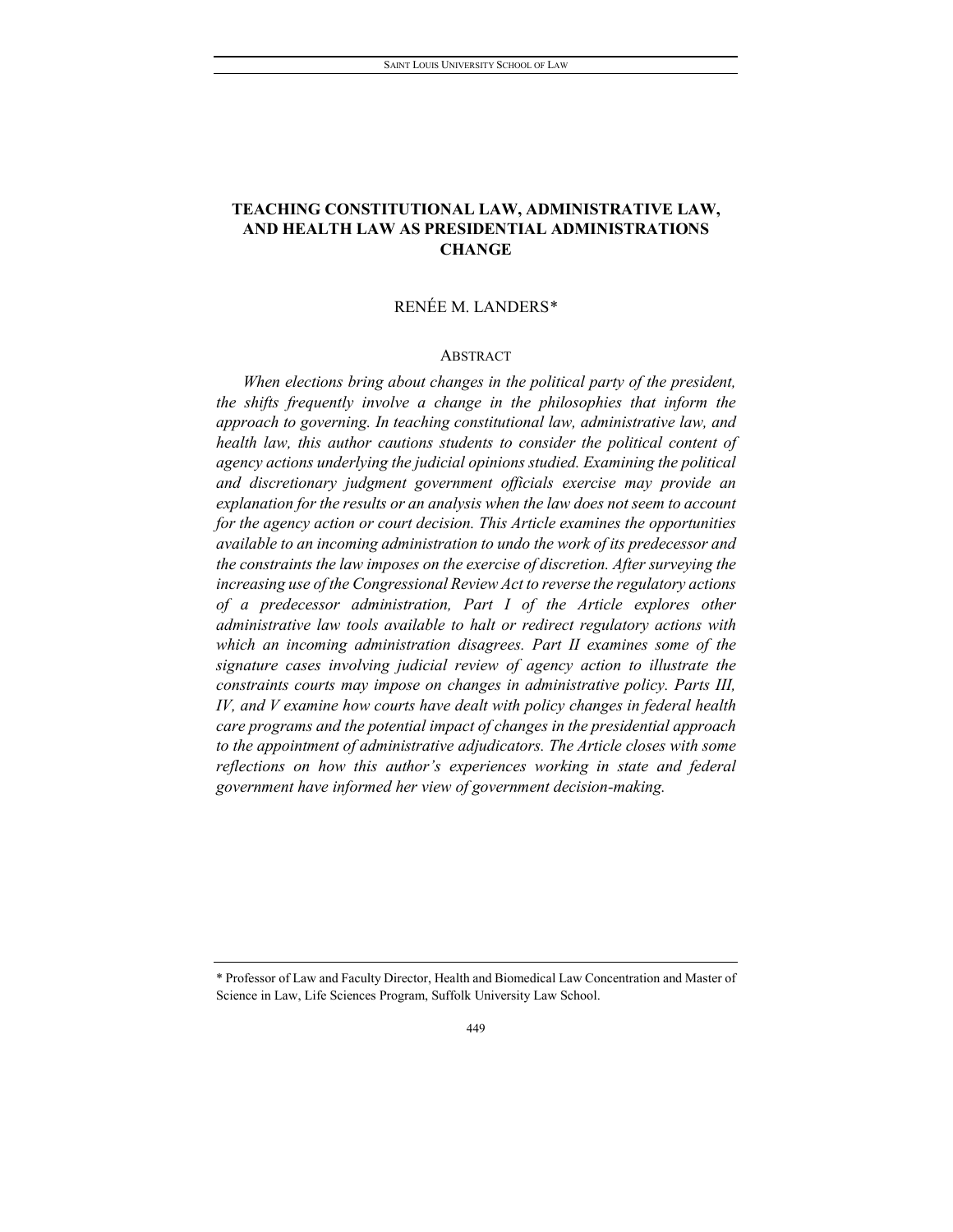## **TEACHING CONSTITUTIONAL LAW, ADMINISTRATIVE LAW, AND HEALTH LAW AS PRESIDENTIAL ADMINISTRATIONS CHANGE**

## RENÉE M. LANDERS[\\*](#page-1-0)

#### **ABSTRACT**

*When elections bring about changes in the political party of the president, the shifts frequently involve a change in the philosophies that inform the approach to governing. In teaching constitutional law, administrative law, and health law, this author cautions students to consider the political content of agency actions underlying the judicial opinions studied. Examining the political and discretionary judgment government officials exercise may provide an explanation for the results or an analysis when the law does not seem to account for the agency action or court decision. This Article examines the opportunities available to an incoming administration to undo the work of its predecessor and the constraints the law imposes on the exercise of discretion. After surveying the increasing use of the Congressional Review Act to reverse the regulatory actions of a predecessor administration, Part I of the Article explores other administrative law tools available to halt or redirect regulatory actions with which an incoming administration disagrees. Part II examines some of the signature cases involving judicial review of agency action to illustrate the constraints courts may impose on changes in administrative policy. Parts III, IV, and V examine how courts have dealt with policy changes in federal health care programs and the potential impact of changes in the presidential approach to the appointment of administrative adjudicators. The Article closes with some reflections on how this author's experiences working in state and federal government have informed her view of government decision-making.*

<span id="page-1-0"></span><sup>\*</sup> Professor of Law and Faculty Director, Health and Biomedical Law Concentration and Master of Science in Law, Life Sciences Program, Suffolk University Law School.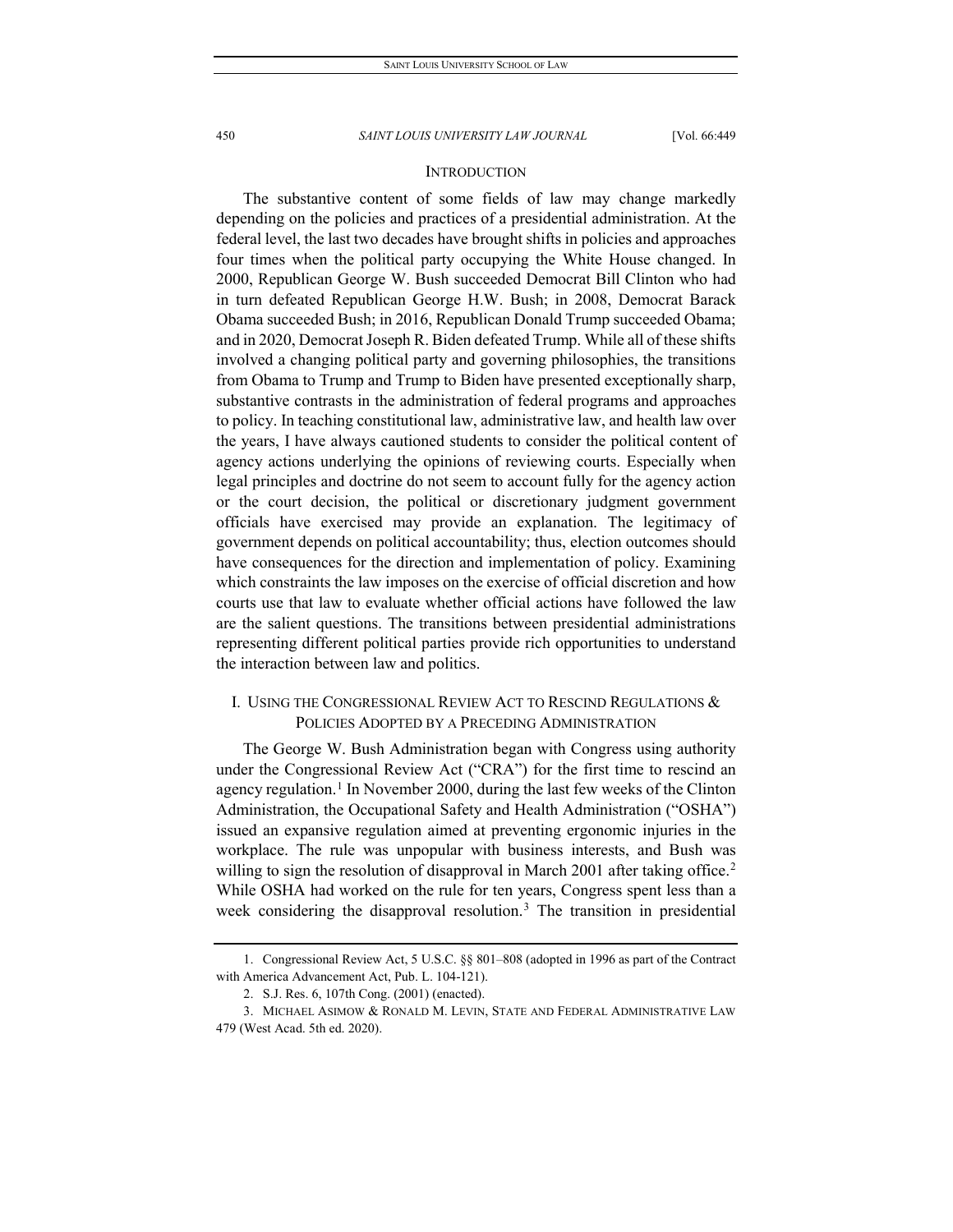#### **INTRODUCTION**

The substantive content of some fields of law may change markedly depending on the policies and practices of a presidential administration. At the federal level, the last two decades have brought shifts in policies and approaches four times when the political party occupying the White House changed. In 2000, Republican George W. Bush succeeded Democrat Bill Clinton who had in turn defeated Republican George H.W. Bush; in 2008, Democrat Barack Obama succeeded Bush; in 2016, Republican Donald Trump succeeded Obama; and in 2020, Democrat Joseph R. Biden defeated Trump. While all of these shifts involved a changing political party and governing philosophies, the transitions from Obama to Trump and Trump to Biden have presented exceptionally sharp, substantive contrasts in the administration of federal programs and approaches to policy. In teaching constitutional law, administrative law, and health law over the years, I have always cautioned students to consider the political content of agency actions underlying the opinions of reviewing courts. Especially when legal principles and doctrine do not seem to account fully for the agency action or the court decision, the political or discretionary judgment government officials have exercised may provide an explanation. The legitimacy of government depends on political accountability; thus, election outcomes should have consequences for the direction and implementation of policy. Examining which constraints the law imposes on the exercise of official discretion and how courts use that law to evaluate whether official actions have followed the law are the salient questions. The transitions between presidential administrations representing different political parties provide rich opportunities to understand the interaction between law and politics.

## I. USING THE CONGRESSIONAL REVIEW ACT TO RESCIND REGULATIONS & POLICIES ADOPTED BY A PRECEDING ADMINISTRATION

The George W. Bush Administration began with Congress using authority under the Congressional Review Act ("CRA") for the first time to rescind an agency regulation.<sup>[1](#page-2-0)</sup> In November 2000, during the last few weeks of the Clinton Administration, the Occupational Safety and Health Administration ("OSHA") issued an expansive regulation aimed at preventing ergonomic injuries in the workplace. The rule was unpopular with business interests, and Bush was willing to sign the resolution of disapproval in March 2001 after taking office.<sup>2</sup> While OSHA had worked on the rule for ten years, Congress spent less than a week considering the disapproval resolution.<sup>[3](#page-2-2)</sup> The transition in presidential

<span id="page-2-0"></span><sup>1.</sup> Congressional Review Act, 5 U.S.C. §§ 801–808 (adopted in 1996 as part of the Contract with America Advancement Act, Pub. L. 104-121).

<sup>2.</sup> S.J. Res. 6, 107th Cong. (2001) (enacted).

<span id="page-2-2"></span><span id="page-2-1"></span><sup>3.</sup> MICHAEL ASIMOW & RONALD M. LEVIN, STATE AND FEDERAL ADMINISTRATIVE LAW 479 (West Acad. 5th ed. 2020).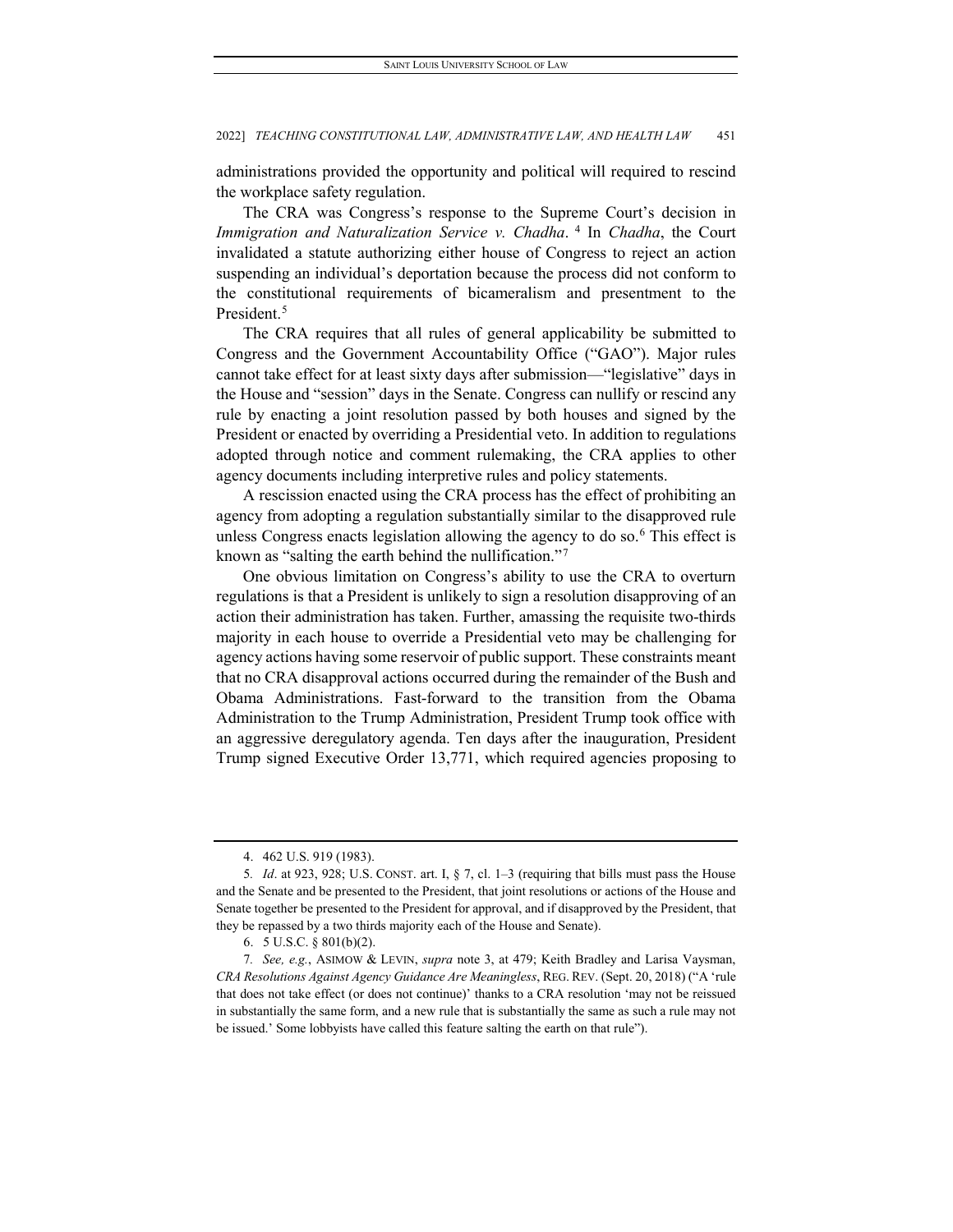administrations provided the opportunity and political will required to rescind the workplace safety regulation.

The CRA was Congress's response to the Supreme Court's decision in *Immigration and Naturalization Service v. Chadha*.<sup>[4](#page-3-0)</sup> In *Chadha*, the Court invalidated a statute authorizing either house of Congress to reject an action suspending an individual's deportation because the process did not conform to the constitutional requirements of bicameralism and presentment to the President.<sup>[5](#page-3-1)</sup>

The CRA requires that all rules of general applicability be submitted to Congress and the Government Accountability Office ("GAO"). Major rules cannot take effect for at least sixty days after submission—"legislative" days in the House and "session" days in the Senate. Congress can nullify or rescind any rule by enacting a joint resolution passed by both houses and signed by the President or enacted by overriding a Presidential veto. In addition to regulations adopted through notice and comment rulemaking, the CRA applies to other agency documents including interpretive rules and policy statements.

A rescission enacted using the CRA process has the effect of prohibiting an agency from adopting a regulation substantially similar to the disapproved rule unless Congress enacts legislation allowing the agency to do so.<sup>[6](#page-3-2)</sup> This effect is known as "salting the earth behind the nullification."<sup>[7](#page-3-3)</sup>

One obvious limitation on Congress's ability to use the CRA to overturn regulations is that a President is unlikely to sign a resolution disapproving of an action their administration has taken. Further, amassing the requisite two-thirds majority in each house to override a Presidential veto may be challenging for agency actions having some reservoir of public support. These constraints meant that no CRA disapproval actions occurred during the remainder of the Bush and Obama Administrations. Fast-forward to the transition from the Obama Administration to the Trump Administration, President Trump took office with an aggressive deregulatory agenda. Ten days after the inauguration, President Trump signed Executive Order 13,771, which required agencies proposing to

<sup>4.</sup> 462 U.S. 919 (1983).

<span id="page-3-1"></span><span id="page-3-0"></span><sup>5</sup>*. Id*. at 923, 928; U.S. CONST. art. I, § 7, cl. 1–3 (requiring that bills must pass the House and the Senate and be presented to the President, that joint resolutions or actions of the House and Senate together be presented to the President for approval, and if disapproved by the President, that they be repassed by a two thirds majority each of the House and Senate).

<sup>6.</sup> 5 U.S.C. § 801(b)(2).

<span id="page-3-3"></span><span id="page-3-2"></span><sup>7</sup>*. See, e.g.*, ASIMOW & LEVIN, *supra* note 3, at 479; Keith Bradley and Larisa Vaysman, *CRA Resolutions Against Agency Guidance Are Meaningless*, REG. REV. (Sept. 20, 2018) ("A 'rule that does not take effect (or does not continue)' thanks to a CRA resolution 'may not be reissued in substantially the same form, and a new rule that is substantially the same as such a rule may not be issued.' Some lobbyists have called this feature salting the earth on that rule").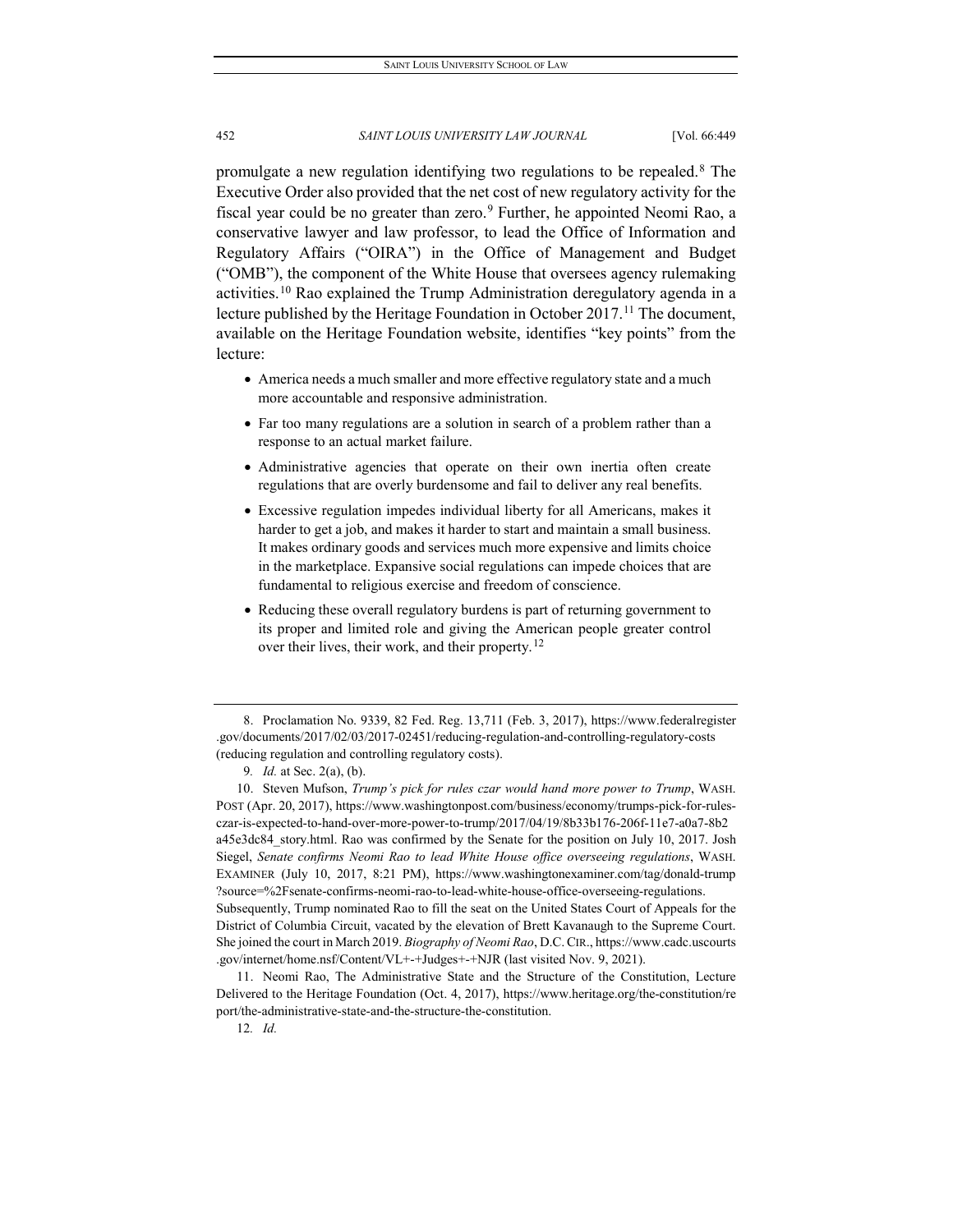promulgate a new regulation identifying two regulations to be repealed.[8](#page-4-0) The Executive Order also provided that the net cost of new regulatory activity for the fiscal year could be no greater than zero.<sup>[9](#page-4-1)</sup> Further, he appointed Neomi Rao, a conservative lawyer and law professor, to lead the Office of Information and Regulatory Affairs ("OIRA") in the Office of Management and Budget ("OMB"), the component of the White House that oversees agency rulemaking activities.[10](#page-4-2) Rao explained the Trump Administration deregulatory agenda in a lecture published by the Heritage Foundation in October 2017.<sup>[11](#page-4-3)</sup> The document, available on the Heritage Foundation website, identifies "key points" from the lecture:

- America needs a much smaller and more effective regulatory state and a much more accountable and responsive administration.
- Far too many regulations are a solution in search of a problem rather than a response to an actual market failure.
- Administrative agencies that operate on their own inertia often create regulations that are overly burdensome and fail to deliver any real benefits.
- Excessive regulation impedes individual liberty for all Americans, makes it harder to get a job, and makes it harder to start and maintain a small business. It makes ordinary goods and services much more expensive and limits choice in the marketplace. Expansive social regulations can impede choices that are fundamental to religious exercise and freedom of conscience.
- Reducing these overall regulatory burdens is part of returning government to its proper and limited role and giving the American people greater control over their lives, their work, and their property.<sup>[12](#page-4-4)</sup>

<span id="page-4-2"></span><span id="page-4-1"></span>10. Steven Mufson, *Trump's pick for rules czar would hand more power to Trump*, WASH. POST (Apr. 20, 2017), https://www.washingtonpost.com/business/economy/trumps-pick-for-rulesczar-is-expected-to-hand-over-more-power-to-trump/2017/04/19/8b33b176-206f-11e7-a0a7-8b2 a45e3dc84\_story.html. Rao was confirmed by the Senate for the position on July 10, 2017. Josh Siegel, *[Senate confirms Neomi Rao to lead White House office overseeing regulations](http://www.washingtonexaminer.com/senate-confirms-neomi-rao-to-lead-white-house-office-overseeing-regulations/article/2628230)*[, W](http://www.washingtonexaminer.com/senate-confirms-neomi-rao-to-lead-white-house-office-overseeing-regulations/article/2628230)ASH. EXAMINER (July 10, 2017, 8:21 PM), https://www.washingtonexaminer.com/tag/donald-trump ?source=%2Fsenate-confirms-neomi-rao-to-lead-white-house-office-overseeing-regulations. Subsequently, Trump nominated Rao to fill the seat on the United States Court of Appeals for the District of Columbia Circuit, vacated by the elevation of Brett Kavanaugh to the Supreme Court.

She joined the court in March 2019. *Biography of Neomi Rao*, D.C.CIR., https://www.cadc.uscourts .gov/internet/home.nsf/Content/VL+-+Judges+-+NJR (last visited Nov. 9, 2021).

<span id="page-4-4"></span><span id="page-4-3"></span>11. Neomi Rao, The Administrative State and the Structure of the Constitution, Lecture Delivered to the Heritage Foundation (Oct. 4, 2017), https://www.heritage.org/the-constitution/re port/the-administrative-state-and-the-structure-the-constitution.

<span id="page-4-0"></span><sup>8.</sup> Proclamation No. 9339, 82 Fed. Reg. 13,711 (Feb. 3, 2017), https://www.federalregister .gov/documents/2017/02/03/2017-02451/reducing-regulation-and-controlling-regulatory-costs (reducing regulation and controlling regulatory costs).

<sup>9</sup>*. Id.* at Sec. 2(a), (b).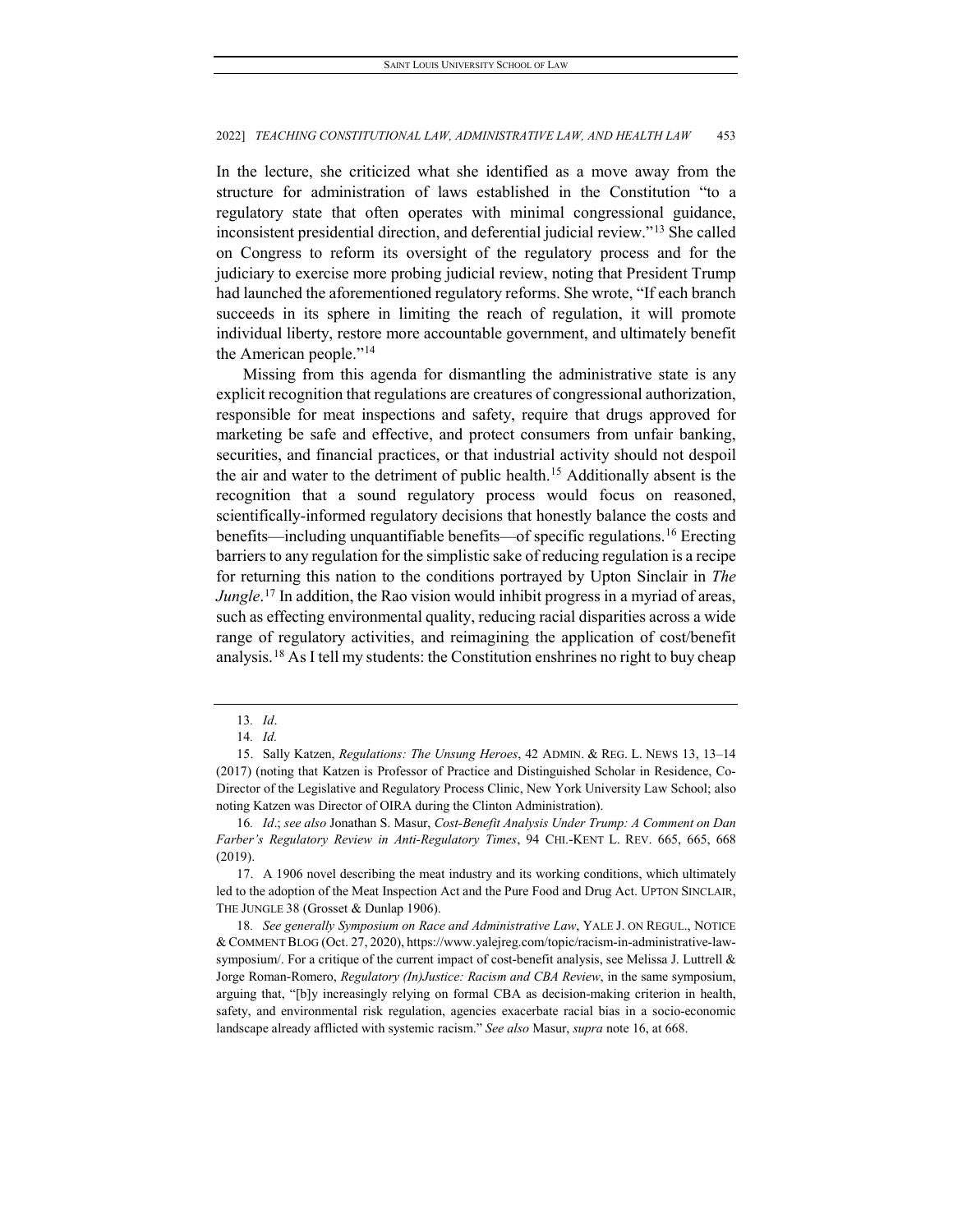In the lecture, she criticized what she identified as a move away from the structure for administration of laws established in the Constitution "to a regulatory state that often operates with minimal congressional guidance, inconsistent presidential direction, and deferential judicial review."[13](#page-5-0) She called on Congress to reform its oversight of the regulatory process and for the judiciary to exercise more probing judicial review, noting that President Trump had launched the aforementioned regulatory reforms. She wrote, "If each branch succeeds in its sphere in limiting the reach of regulation, it will promote individual liberty, restore more accountable government, and ultimately benefit the American people."[14](#page-5-1)

Missing from this agenda for dismantling the administrative state is any explicit recognition that regulations are creatures of congressional authorization, responsible for meat inspections and safety, require that drugs approved for marketing be safe and effective, and protect consumers from unfair banking, securities, and financial practices, or that industrial activity should not despoil the air and water to the detriment of public health.[15](#page-5-2) Additionally absent is the recognition that a sound regulatory process would focus on reasoned, scientifically-informed regulatory decisions that honestly balance the costs and benefits—including unquantifiable benefits—of specific regulations.[16](#page-5-3) Erecting barriers to any regulation for the simplistic sake of reducing regulation is a recipe for returning this nation to the conditions portrayed by Upton Sinclair in *The Jungle*. [17](#page-5-4) In addition, the Rao vision would inhibit progress in a myriad of areas, such as effecting environmental quality, reducing racial disparities across a wide range of regulatory activities, and reimagining the application of cost/benefit analysis.[18](#page-5-5) As I tell my students: the Constitution enshrines no right to buy cheap

<sup>13</sup>*. Id*.

<sup>14</sup>*. Id.*

<span id="page-5-2"></span><span id="page-5-1"></span><span id="page-5-0"></span><sup>15.</sup> Sally Katzen, *Regulations: The Unsung Heroes*, 42 ADMIN. & REG. L. NEWS 13, 13–14 (2017) (noting that Katzen is Professor of Practice and Distinguished Scholar in Residence, Co-Director of the Legislative and Regulatory Process Clinic, New York University Law School; also noting Katzen was Director of OIRA during the Clinton Administration).

<span id="page-5-3"></span><sup>16</sup>*. Id*.; *see also* Jonathan S. Masur, *Cost-Benefit Analysis Under Trump: A Comment on Dan Farber's Regulatory Review in Anti-Regulatory Times*, 94 CHI.-KENT L. REV. 665, 665, 668 (2019).

<span id="page-5-4"></span><sup>17.</sup> A 1906 novel describing the meat industry and its working conditions, which ultimately led to the adoption of the Meat Inspection Act and the Pure Food and Drug Act. UPTON SINCLAIR, THE JUNGLE 38 (Grosset & Dunlap 1906).

<span id="page-5-5"></span><sup>18</sup>*. See generally Symposium on Race and Administrative Law*, YALE J. ON REGUL., NOTICE & COMMENT BLOG (Oct. 27, 2020), https://www.yalejreg.com/topic/racism-in-administrative-lawsymposium/. For a critique of the current impact of cost-benefit analysis, see Melissa J. Luttrell & Jorge Roman-Romero, *Regulatory (In)Justice: Racism and CBA Review*, in the same symposium, arguing that, "[b]y increasingly relying on formal CBA as decision-making criterion in health, safety, and environmental risk regulation, agencies exacerbate racial bias in a socio-economic landscape already afflicted with systemic racism." *See also* Masur, *supra* note 16, at 668.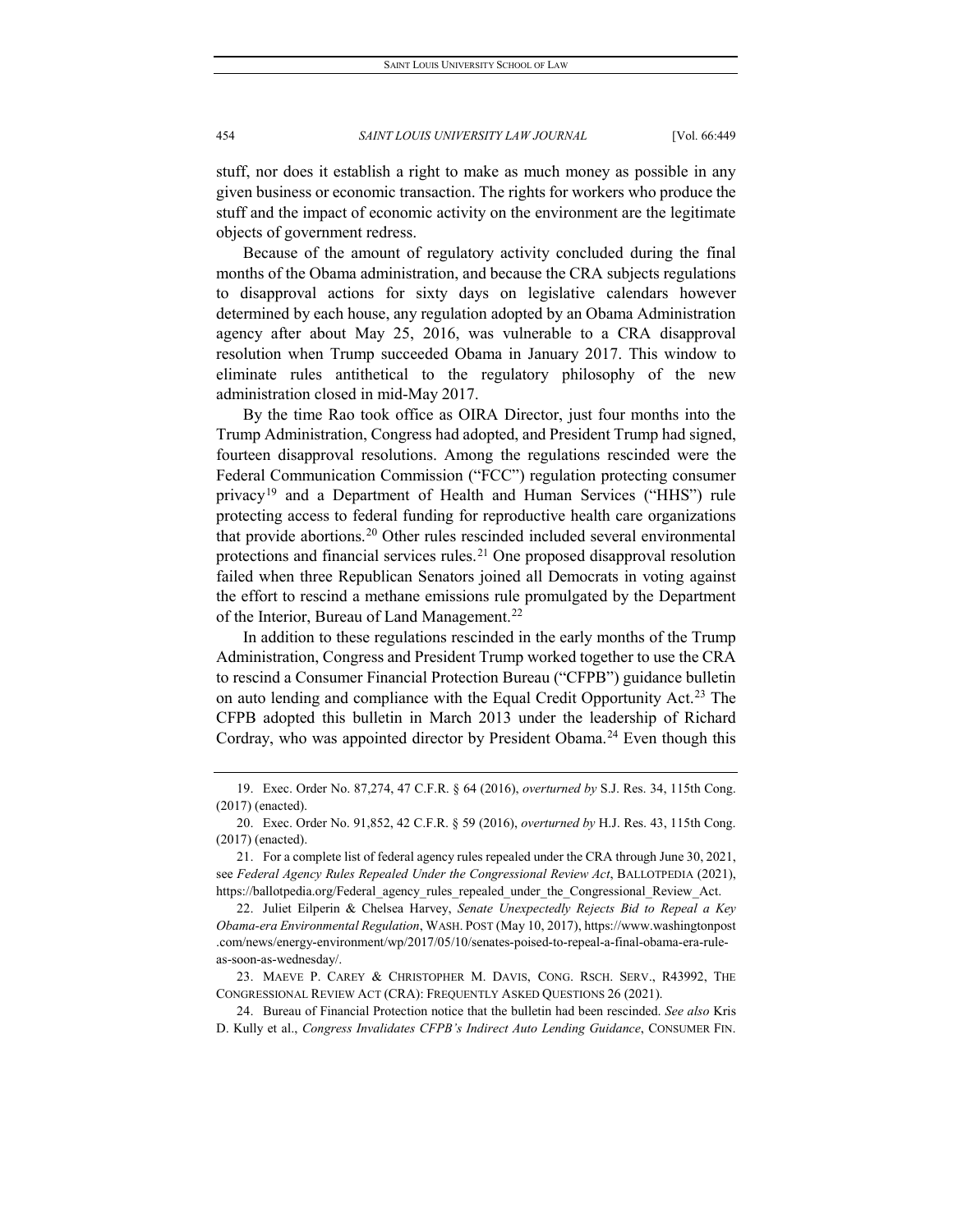stuff, nor does it establish a right to make as much money as possible in any given business or economic transaction. The rights for workers who produce the stuff and the impact of economic activity on the environment are the legitimate objects of government redress.

Because of the amount of regulatory activity concluded during the final months of the Obama administration, and because the CRA subjects regulations to disapproval actions for sixty days on legislative calendars however determined by each house, any regulation adopted by an Obama Administration agency after about May 25, 2016, was vulnerable to a CRA disapproval resolution when Trump succeeded Obama in January 2017. This window to eliminate rules antithetical to the regulatory philosophy of the new administration closed in mid-May 2017.

By the time Rao took office as OIRA Director, just four months into the Trump Administration, Congress had adopted, and President Trump had signed, fourteen disapproval resolutions. Among the regulations rescinded were the Federal Communication Commission ("FCC") regulation protecting consumer privacy<sup>[19](#page-6-0)</sup> and a Department of Health and Human Services ("HHS") rule protecting access to federal funding for reproductive health care organizations that provide abortions.[20](#page-6-1) Other rules rescinded included several environmental protections and financial services rules.<sup>[21](#page-6-2)</sup> One proposed disapproval resolution failed when three Republican Senators joined all Democrats in voting against the effort to rescind a methane emissions rule promulgated by the Department of the Interior, Bureau of Land Management.<sup>[22](#page-6-3)</sup>

In addition to these regulations rescinded in the early months of the Trump Administration, Congress and President Trump worked together to use the CRA to rescind a Consumer Financial Protection Bureau ("CFPB") guidance bulletin on auto lending and compliance with the Equal Credit Opportunity Act.<sup>[23](#page-6-4)</sup> The CFPB adopted this bulletin in March 2013 under the leadership of Richard Cordray, who was appointed director by President Obama.<sup>[24](#page-6-5)</sup> Even though this

<span id="page-6-5"></span>24. Bureau of Financial Protection notice that the bulletin had been rescinded. *See also* Kris D. Kully et al., *Congress Invalidates CFPB's Indirect Auto Lending Guidance*, CONSUMER FIN.

<span id="page-6-0"></span><sup>19.</sup> Exec. Order No. 87,274, 47 C.F.R. § 64 (2016), *overturned by* S.J. Res. 34, 115th Cong. (2017) (enacted).

<span id="page-6-1"></span><sup>20.</sup> Exec. Order No. 91,852, 42 C.F.R. § 59 (2016), *overturned by* H.J. Res. 43, 115th Cong. (2017) (enacted).

<span id="page-6-2"></span><sup>21.</sup> For a complete list of federal agency rules repealed under the CRA through June 30, 2021, see *Federal Agency Rules Repealed Under the Congressional Review Act*, BALLOTPEDIA (2021), https://ballotpedia.org/Federal\_agency\_rules\_repealed\_under\_the\_Congressional\_Review\_Act.

<span id="page-6-3"></span><sup>22.</sup> Juliet Eilperin & Chelsea Harvey, *Senate Unexpectedly Rejects Bid to Repeal a Key Obama-era Environmental Regulation*, WASH. POST (May 10, 2017), https://www.washingtonpost .com/news/energy-environment/wp/2017/05/10/senates-poised-to-repeal-a-final-obama-era-ruleas-soon-as-wednesday/.

<span id="page-6-4"></span><sup>23.</sup> MAEVE P. CAREY & CHRISTOPHER M. DAVIS, CONG. RSCH. SERV., R43992, THE CONGRESSIONAL REVIEW ACT (CRA): FREQUENTLY ASKED QUESTIONS 26 (2021).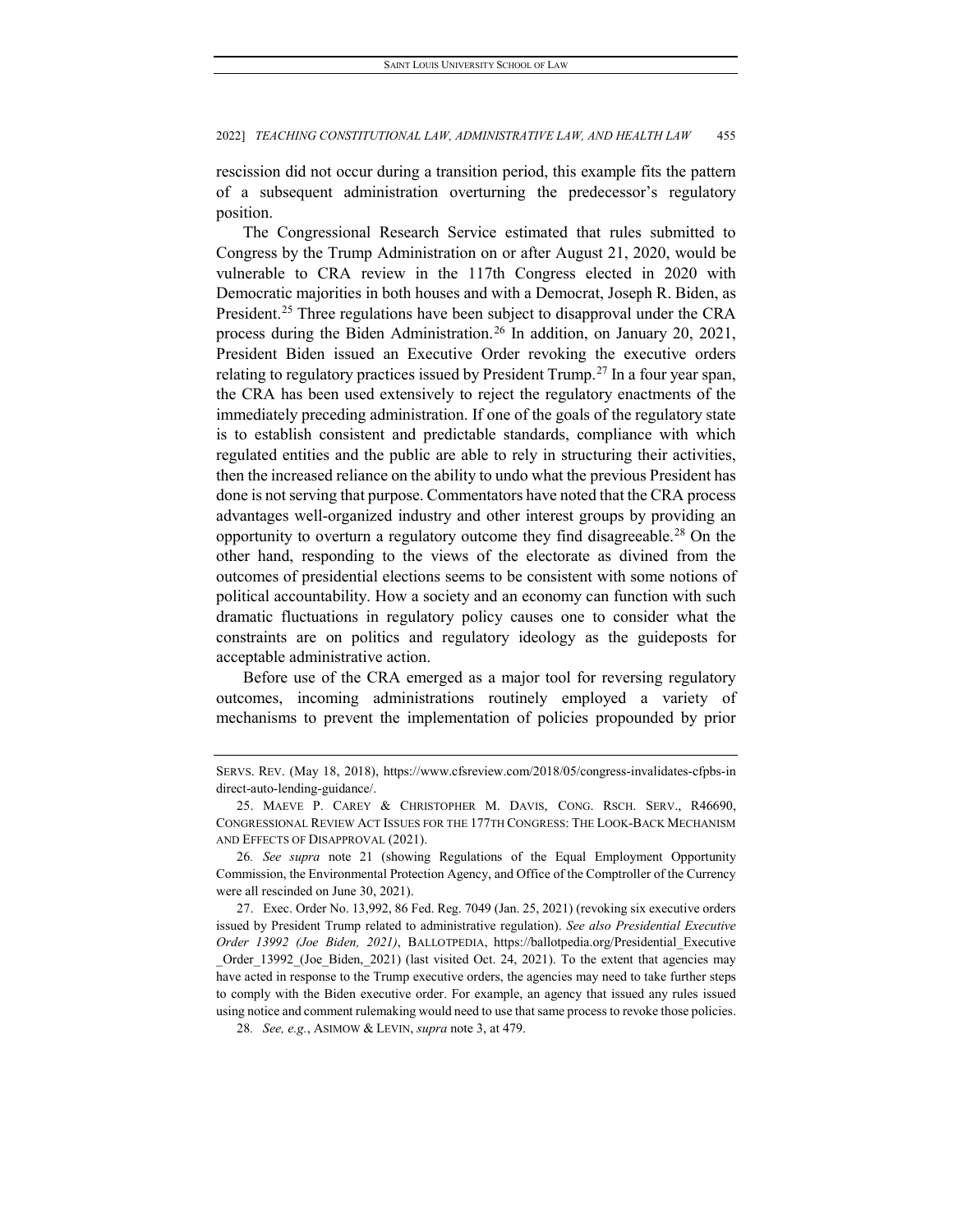rescission did not occur during a transition period, this example fits the pattern of a subsequent administration overturning the predecessor's regulatory position.

The Congressional Research Service estimated that rules submitted to Congress by the Trump Administration on or after August 21, 2020, would be vulnerable to CRA review in the 117th Congress elected in 2020 with Democratic majorities in both houses and with a Democrat, Joseph R. Biden, as President.<sup>[25](#page-7-0)</sup> Three regulations have been subject to disapproval under the CRA process during the Biden Administration.<sup>[26](#page-7-1)</sup> In addition, on January 20, 2021, President Biden issued an Executive Order revoking the executive orders relating to regulatory practices issued by President Trump.<sup>[27](#page-7-2)</sup> In a four year span, the CRA has been used extensively to reject the regulatory enactments of the immediately preceding administration. If one of the goals of the regulatory state is to establish consistent and predictable standards, compliance with which regulated entities and the public are able to rely in structuring their activities, then the increased reliance on the ability to undo what the previous President has done is not serving that purpose. Commentators have noted that the CRA process advantages well-organized industry and other interest groups by providing an opportunity to overturn a regulatory outcome they find disagreeable[.28](#page-7-3) On the other hand, responding to the views of the electorate as divined from the outcomes of presidential elections seems to be consistent with some notions of political accountability. How a society and an economy can function with such dramatic fluctuations in regulatory policy causes one to consider what the constraints are on politics and regulatory ideology as the guideposts for acceptable administrative action.

Before use of the CRA emerged as a major tool for reversing regulatory outcomes, incoming administrations routinely employed a variety of mechanisms to prevent the implementation of policies propounded by prior

SERVS. REV. (May 18, 2018), https://www.cfsreview.com/2018/05/congress-invalidates-cfpbs-in direct-auto-lending-guidance/.

<span id="page-7-0"></span><sup>25.</sup> MAEVE P. CAREY & CHRISTOPHER M. DAVIS, CONG. RSCH. SERV., R46690, CONGRESSIONAL REVIEW ACT ISSUES FOR THE 177TH CONGRESS: THE LOOK-BACK MECHANISM AND EFFECTS OF DISAPPROVAL (2021).

<span id="page-7-1"></span><sup>26</sup>*. See supra* note 21 (showing Regulations of the Equal Employment Opportunity Commission, the Environmental Protection Agency, and Office of the Comptroller of the Currency were all rescinded on June 30, 2021).

<span id="page-7-2"></span><sup>27.</sup> Exec. Order No. 13,992, 86 Fed. Reg. 7049 (Jan. 25, 2021) (revoking six executive orders issued by President Trump related to administrative regulation). *See also Presidential Executive Order 13992 (Joe Biden, 2021)*, BALLOTPEDIA, https://ballotpedia.org/Presidential\_Executive Order 13992 (Joe Biden, 2021) (last visited Oct. 24, 2021). To the extent that agencies may have acted in response to the Trump executive orders, the agencies may need to take further steps to comply with the Biden executive order. For example, an agency that issued any rules issued using notice and comment rulemaking would need to use that same process to revoke those policies.

<span id="page-7-3"></span><sup>28</sup>*. See, e.g.*, ASIMOW & LEVIN, *supra* note 3, at 479.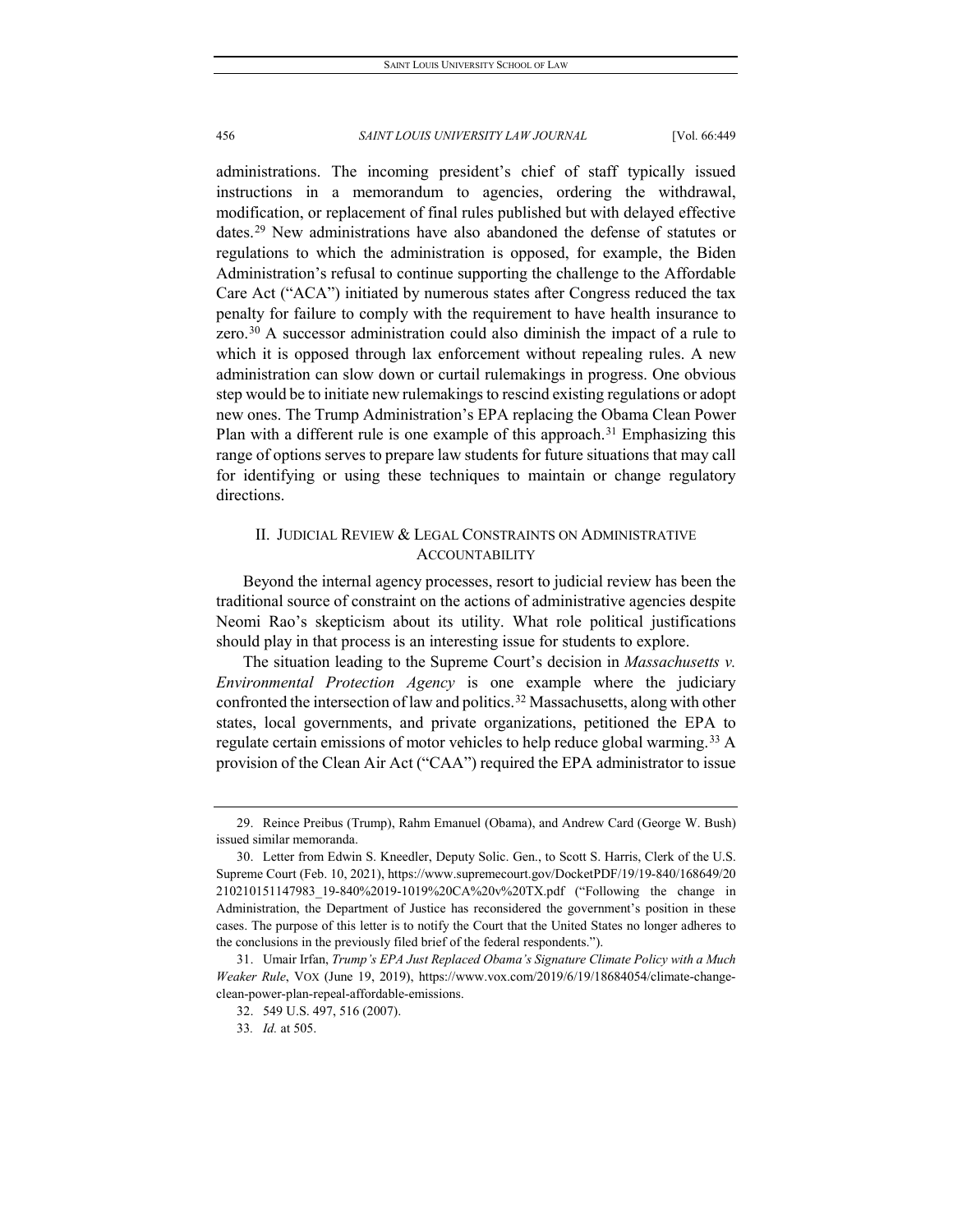administrations. The incoming president's chief of staff typically issued instructions in a memorandum to agencies, ordering the withdrawal, modification, or replacement of final rules published but with delayed effective dates.[29](#page-8-0) New administrations have also abandoned the defense of statutes or regulations to which the administration is opposed, for example, the Biden Administration's refusal to continue supporting the challenge to the Affordable Care Act ("ACA") initiated by numerous states after Congress reduced the tax penalty for failure to comply with the requirement to have health insurance to zero. $30$  A successor administration could also diminish the impact of a rule to which it is opposed through lax enforcement without repealing rules. A new administration can slow down or curtail rulemakings in progress. One obvious step would be to initiate new rulemakings to rescind existing regulations or adopt new ones. The Trump Administration's EPA replacing the Obama Clean Power Plan with a different rule is one example of this approach.<sup>[31](#page-8-2)</sup> Emphasizing this range of options serves to prepare law students for future situations that may call for identifying or using these techniques to maintain or change regulatory directions.

## II. JUDICIAL REVIEW & LEGAL CONSTRAINTS ON ADMINISTRATIVE **ACCOUNTABILITY**

Beyond the internal agency processes, resort to judicial review has been the traditional source of constraint on the actions of administrative agencies despite Neomi Rao's skepticism about its utility. What role political justifications should play in that process is an interesting issue for students to explore.

The situation leading to the Supreme Court's decision in *Massachusetts v. Environmental Protection Agency* is one example where the judiciary confronted the intersection of law and politics.<sup>[32](#page-8-3)</sup> Massachusetts, along with other states, local governments, and private organizations, petitioned the EPA to regulate certain emissions of motor vehicles to help reduce global warming.<sup>[33](#page-8-4)</sup> A provision of the Clean Air Act ("CAA") required the EPA administrator to issue

<span id="page-8-0"></span><sup>29.</sup> Reince Preibus (Trump), Rahm Emanuel (Obama), and Andrew Card (George W. Bush) issued similar memoranda.

<span id="page-8-1"></span><sup>30.</sup> Letter from Edwin S. Kneedler, Deputy Solic. Gen., to Scott S. Harris, Clerk of the U.S. Supreme Court (Feb. 10, 2021), https://www.supremecourt.gov/DocketPDF/19/19-840/168649/20 210210151147983\_19-840%2019-1019%20CA%20v%20TX.pdf ("Following the change in Administration, the Department of Justice has reconsidered the government's position in these cases. The purpose of this letter is to notify the Court that the United States no longer adheres to the conclusions in the previously filed brief of the federal respondents.").

<span id="page-8-4"></span><span id="page-8-3"></span><span id="page-8-2"></span><sup>31.</sup> Umair Irfan, *Trump's EPA Just Replaced Obama's Signature Climate Policy with a Much Weaker Rule*, VOX (June 19, 2019), https://www.vox.com/2019/6/19/18684054/climate-changeclean-power-plan-repeal-affordable-emissions.

<sup>32.</sup> 549 U.S. 497, 516 (2007).

<sup>33</sup>*. Id.* at 505.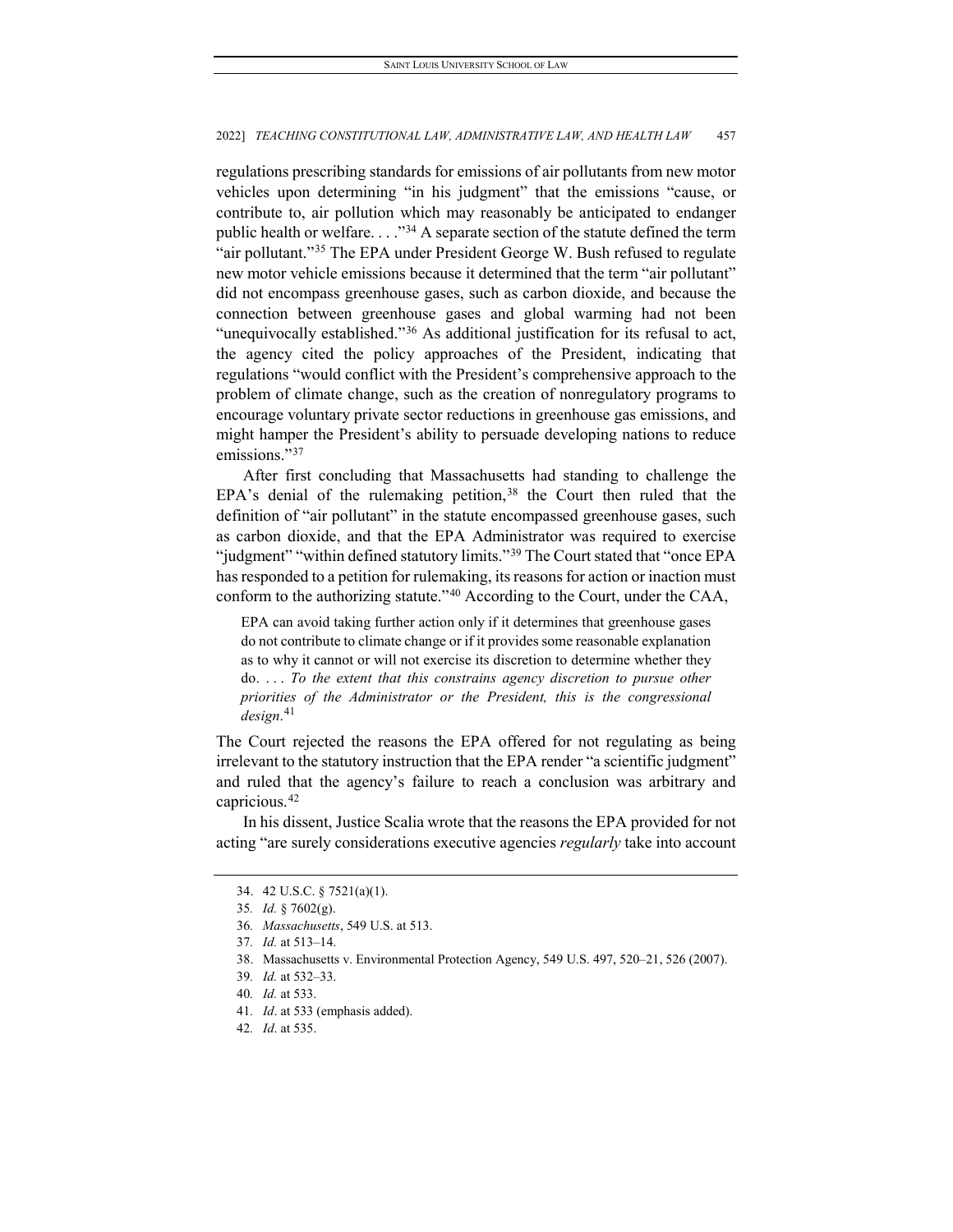regulations prescribing standards for emissions of air pollutants from new motor vehicles upon determining "in his judgment" that the emissions "cause, or contribute to, air pollution which may reasonably be anticipated to endanger public health or welfare.  $\ldots$ <sup>[34](#page-9-0)</sup> A separate section of the statute defined the term "air pollutant."[35](#page-9-1) The EPA under President George W. Bush refused to regulate new motor vehicle emissions because it determined that the term "air pollutant" did not encompass greenhouse gases, such as carbon dioxide, and because the connection between greenhouse gases and global warming had not been "unequivocally established."<sup>[36](#page-9-2)</sup> As additional justification for its refusal to act, the agency cited the policy approaches of the President, indicating that regulations "would conflict with the President's comprehensive approach to the problem of climate change, such as the creation of nonregulatory programs to encourage voluntary private sector reductions in greenhouse gas emissions, and might hamper the President's ability to persuade developing nations to reduce emissions."<sup>[37](#page-9-3)</sup>

After first concluding that Massachusetts had standing to challenge the EPA's denial of the rulemaking petition,  $38$  the Court then ruled that the definition of "air pollutant" in the statute encompassed greenhouse gases, such as carbon dioxide, and that the EPA Administrator was required to exercise "judgment" "within defined statutory limits."<sup>[39](#page-9-5)</sup> The Court stated that "once EPA has responded to a petition for rulemaking, its reasons for action or inaction must conform to the authorizing statute."[40](#page-9-6) According to the Court, under the CAA,

EPA can avoid taking further action only if it determines that greenhouse gases do not contribute to climate change or if it provides some reasonable explanation as to why it cannot or will not exercise its discretion to determine whether they do. . . . *To the extent that this constrains agency discretion to pursue other priorities of the Administrator or the President, this is the congressional design*. [41](#page-9-7)

The Court rejected the reasons the EPA offered for not regulating as being irrelevant to the statutory instruction that the EPA render "a scientific judgment" and ruled that the agency's failure to reach a conclusion was arbitrary and capricious.[42](#page-9-8)

<span id="page-9-1"></span><span id="page-9-0"></span>In his dissent, Justice Scalia wrote that the reasons the EPA provided for not acting "are surely considerations executive agencies *regularly* take into account

<sup>34.</sup> 42 U.S.C. § 7521(a)(1).

<sup>35</sup>*. Id.* § 7602(g).

<span id="page-9-2"></span><sup>36</sup>*. Massachusetts*, 549 U.S. at 513.

<span id="page-9-3"></span><sup>37</sup>*. Id.* at 513–14.

<span id="page-9-5"></span><span id="page-9-4"></span><sup>38.</sup> Massachusetts v. Environmental Protection Agency, 549 U.S. 497, 520–21, 526 (2007).

<sup>39</sup>*. Id.* at 532–33.

<span id="page-9-6"></span><sup>40</sup>*. Id.* at 533.

<span id="page-9-7"></span><sup>41</sup>*. Id*. at 533 (emphasis added).

<span id="page-9-8"></span><sup>42</sup>*. Id*. at 535.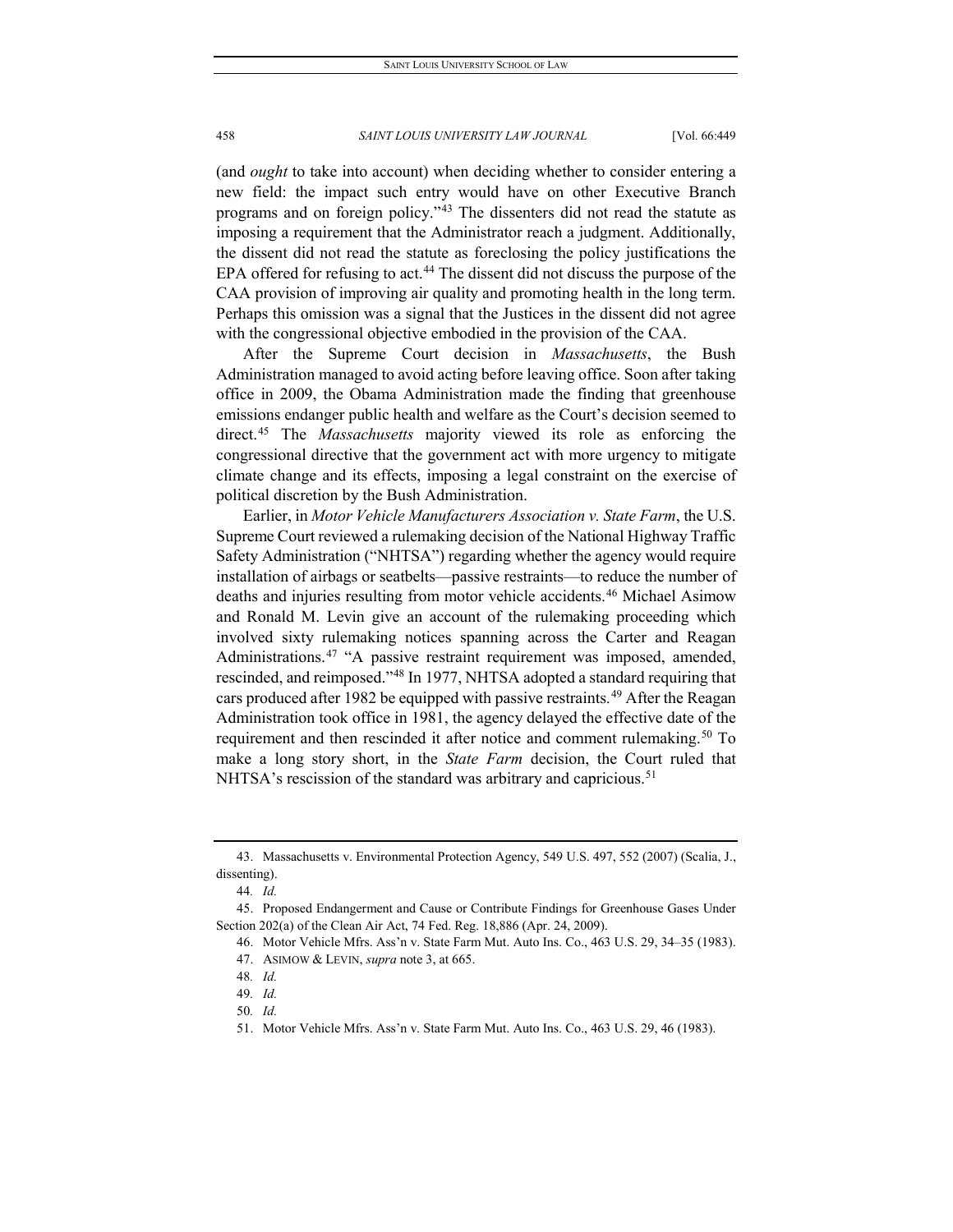(and *ought* to take into account) when deciding whether to consider entering a new field: the impact such entry would have on other Executive Branch programs and on foreign policy."[43](#page-10-0) The dissenters did not read the statute as imposing a requirement that the Administrator reach a judgment. Additionally, the dissent did not read the statute as foreclosing the policy justifications the EPA offered for refusing to act.<sup>[44](#page-10-1)</sup> The dissent did not discuss the purpose of the CAA provision of improving air quality and promoting health in the long term. Perhaps this omission was a signal that the Justices in the dissent did not agree with the congressional objective embodied in the provision of the CAA.

After the Supreme Court decision in *Massachusetts*, the Bush Administration managed to avoid acting before leaving office. Soon after taking office in 2009, the Obama Administration made the finding that greenhouse emissions endanger public health and welfare as the Court's decision seemed to direct.[45](#page-10-2) The *Massachusetts* majority viewed its role as enforcing the congressional directive that the government act with more urgency to mitigate climate change and its effects, imposing a legal constraint on the exercise of political discretion by the Bush Administration.

Earlier, in *Motor Vehicle Manufacturers Association v. State Farm*, the U.S. Supreme Court reviewed a rulemaking decision of the National Highway Traffic Safety Administration ("NHTSA") regarding whether the agency would require installation of airbags or seatbelts—passive restraints—to reduce the number of deaths and injuries resulting from motor vehicle accidents.<sup>[46](#page-10-3)</sup> Michael Asimow and Ronald M. Levin give an account of the rulemaking proceeding which involved sixty rulemaking notices spanning across the Carter and Reagan Administrations.<sup>[47](#page-10-4)</sup> "A passive restraint requirement was imposed, amended, rescinded, and reimposed."[48](#page-10-5) In 1977, NHTSA adopted a standard requiring that cars produced after 1982 be equipped with passive restraints.<sup>[49](#page-10-6)</sup> After the Reagan Administration took office in 1981, the agency delayed the effective date of the requirement and then rescinded it after notice and comment rulemaking.<sup>[50](#page-10-7)</sup> To make a long story short, in the *State Farm* decision, the Court ruled that NHTSA's rescission of the standard was arbitrary and capricious.<sup>[51](#page-10-8)</sup>

<span id="page-10-0"></span><sup>43.</sup> Massachusetts v. Environmental Protection Agency, 549 U.S. 497, 552 (2007) (Scalia, J., dissenting).

<sup>44</sup>*. Id.*

<span id="page-10-6"></span><span id="page-10-5"></span><span id="page-10-4"></span><span id="page-10-3"></span><span id="page-10-2"></span><span id="page-10-1"></span><sup>45.</sup> Proposed Endangerment and Cause or Contribute Findings for Greenhouse Gases Under Section 202(a) of the Clean Air Act, 74 Fed. Reg. 18,886 (Apr. 24, 2009).

<sup>46.</sup> Motor Vehicle Mfrs. Ass'n v. State Farm Mut. Auto Ins. Co., 463 U.S. 29, 34–35 (1983).

<sup>47.</sup> ASIMOW & LEVIN, *supra* note 3, at 665.

<sup>48</sup>*. Id.*

<sup>49</sup>*. Id.*

<span id="page-10-8"></span><span id="page-10-7"></span><sup>50</sup>*. Id.*

<sup>51.</sup> Motor Vehicle Mfrs. Ass'n v. State Farm Mut. Auto Ins. Co., 463 U.S. 29, 46 (1983).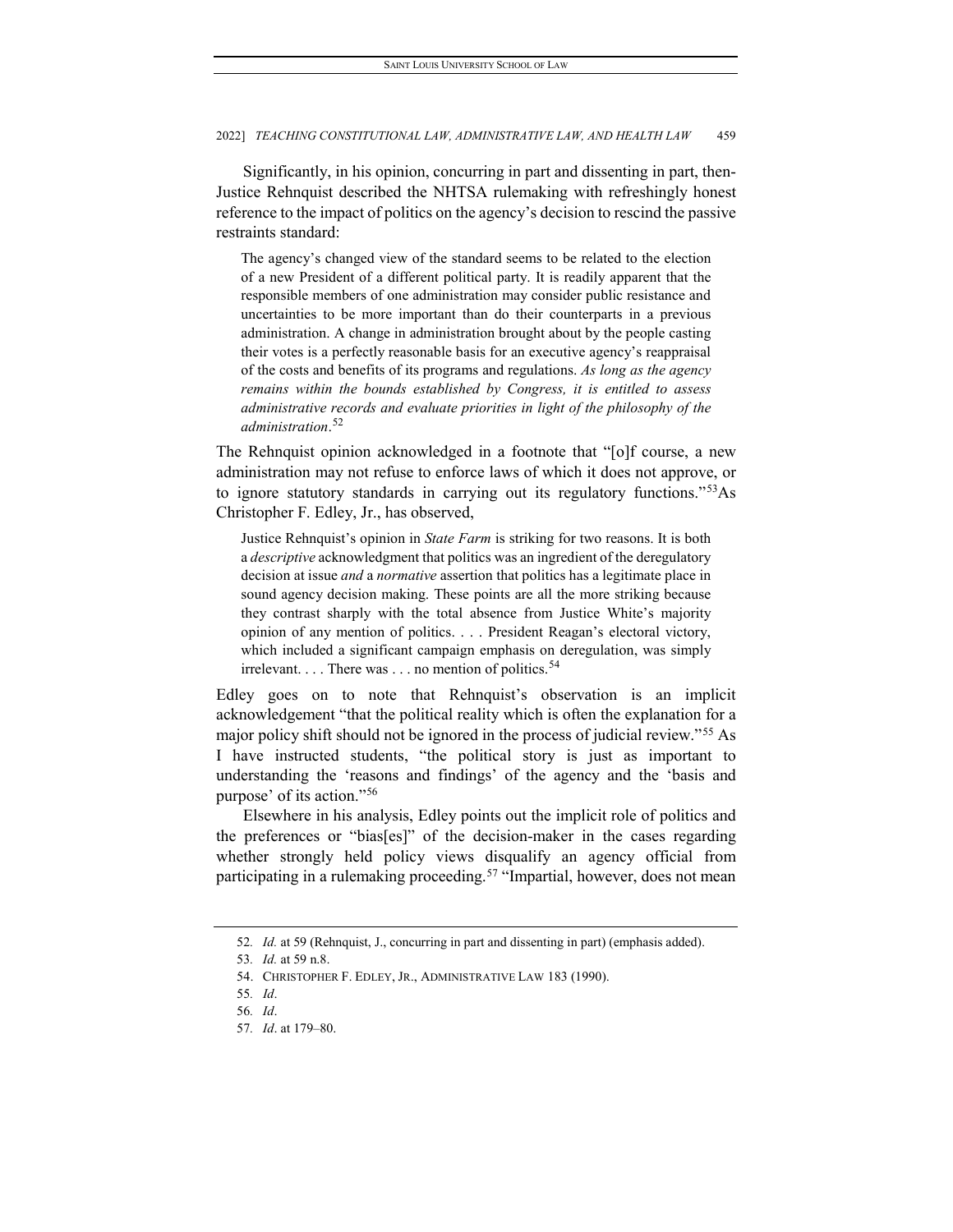Significantly, in his opinion, concurring in part and dissenting in part, then-Justice Rehnquist described the NHTSA rulemaking with refreshingly honest reference to the impact of politics on the agency's decision to rescind the passive restraints standard:

The agency's changed view of the standard seems to be related to the election of a new President of a different political party. It is readily apparent that the responsible members of one administration may consider public resistance and uncertainties to be more important than do their counterparts in a previous administration. A change in administration brought about by the people casting their votes is a perfectly reasonable basis for an executive agency's reappraisal of the costs and benefits of its programs and regulations. *As long as the agency remains within the bounds established by Congress, it is entitled to assess administrative records and evaluate priorities in light of the philosophy of the administration*. [52](#page-11-0)

The Rehnquist opinion acknowledged in a footnote that "[o]f course, a new administration may not refuse to enforce laws of which it does not approve, or to ignore statutory standards in carrying out its regulatory functions."<sup>[53](#page-11-1)</sup>As Christopher F. Edley, Jr., has observed,

Justice Rehnquist's opinion in *State Farm* is striking for two reasons. It is both a *descriptive* acknowledgment that politics was an ingredient of the deregulatory decision at issue *and* a *normative* assertion that politics has a legitimate place in sound agency decision making. These points are all the more striking because they contrast sharply with the total absence from Justice White's majority opinion of any mention of politics. . . . President Reagan's electoral victory, which included a significant campaign emphasis on deregulation, was simply irrelevant.  $\ldots$  There was  $\ldots$  no mention of politics.<sup>[54](#page-11-2)</sup>

Edley goes on to note that Rehnquist's observation is an implicit acknowledgement "that the political reality which is often the explanation for a major policy shift should not be ignored in the process of judicial review."[55](#page-11-3) As I have instructed students, "the political story is just as important to understanding the 'reasons and findings' of the agency and the 'basis and purpose' of its action."[56](#page-11-4)

Elsewhere in his analysis, Edley points out the implicit role of politics and the preferences or "bias[es]" of the decision-maker in the cases regarding whether strongly held policy views disqualify an agency official from participating in a rulemaking proceeding.<sup>[57](#page-11-5)</sup> "Impartial, however, does not mean

<span id="page-11-1"></span><span id="page-11-0"></span><sup>52</sup>*. Id.* at 59 (Rehnquist, J., concurring in part and dissenting in part) (emphasis added).

<sup>53</sup>*. Id.* at 59 n.8.

<span id="page-11-3"></span><span id="page-11-2"></span><sup>54.</sup> CHRISTOPHER F. EDLEY, JR., ADMINISTRATIVE LAW 183 (1990).

<span id="page-11-4"></span><sup>55</sup>*. Id*.

<sup>56</sup>*. Id*.

<span id="page-11-5"></span><sup>57</sup>*. Id*. at 179–80.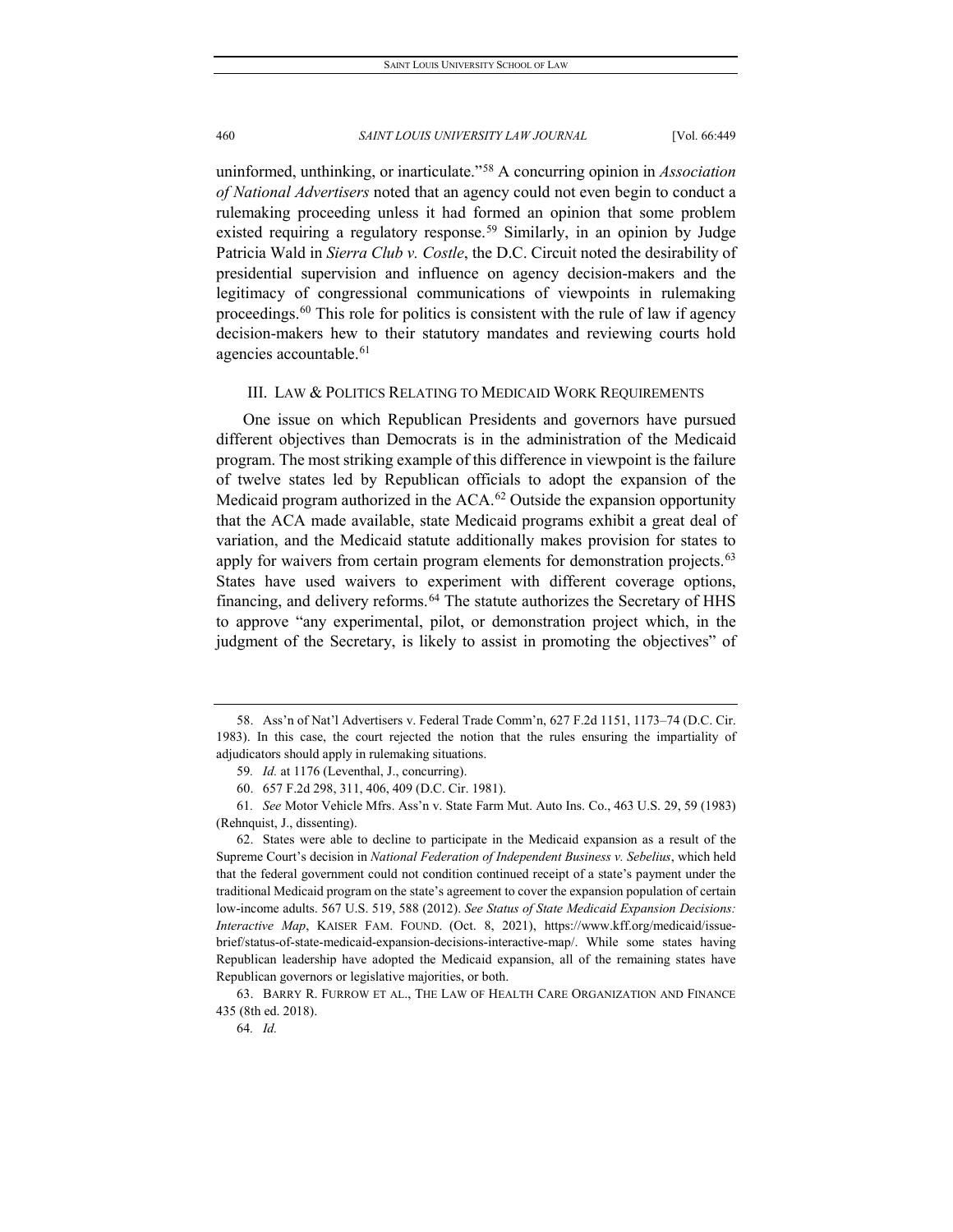uninformed, unthinking, or inarticulate."[58](#page-12-0) A concurring opinion in *Association of National Advertisers* noted that an agency could not even begin to conduct a rulemaking proceeding unless it had formed an opinion that some problem existed requiring a regulatory response.<sup>[59](#page-12-1)</sup> Similarly, in an opinion by Judge Patricia Wald in *Sierra Club v. Costle*, the D.C. Circuit noted the desirability of presidential supervision and influence on agency decision-makers and the legitimacy of congressional communications of viewpoints in rulemaking proceedings.<sup>[60](#page-12-2)</sup> This role for politics is consistent with the rule of law if agency decision-makers hew to their statutory mandates and reviewing courts hold agencies accountable.<sup>[61](#page-12-3)</sup>

#### III. LAW & POLITICS RELATING TO MEDICAID WORK REQUIREMENTS

One issue on which Republican Presidents and governors have pursued different objectives than Democrats is in the administration of the Medicaid program. The most striking example of this difference in viewpoint is the failure of twelve states led by Republican officials to adopt the expansion of the Medicaid program authorized in the  $ACA$ .<sup>[62](#page-12-4)</sup> Outside the expansion opportunity that the ACA made available, state Medicaid programs exhibit a great deal of variation, and the Medicaid statute additionally makes provision for states to apply for waivers from certain program elements for demonstration projects.<sup>[63](#page-12-5)</sup> States have used waivers to experiment with different coverage options, financing, and delivery reforms.<sup>[64](#page-12-6)</sup> The statute authorizes the Secretary of HHS to approve "any experimental, pilot, or demonstration project which, in the judgment of the Secretary, is likely to assist in promoting the objectives" of

<span id="page-12-0"></span><sup>58.</sup> Ass'n of Nat'l Advertisers v. Federal Trade Comm'n, 627 F.2d 1151, 1173–74 (D.C. Cir. 1983). In this case, the court rejected the notion that the rules ensuring the impartiality of adjudicators should apply in rulemaking situations.

<sup>59</sup>*. Id.* at 1176 (Leventhal, J., concurring).

<sup>60.</sup> 657 F.2d 298, 311, 406, 409 (D.C. Cir. 1981).

<span id="page-12-3"></span><span id="page-12-2"></span><span id="page-12-1"></span><sup>61</sup>*. See* Motor Vehicle Mfrs. Ass'n v. State Farm Mut. Auto Ins. Co., 463 U.S. 29, 59 (1983) (Rehnquist, J., dissenting).

<span id="page-12-4"></span><sup>62.</sup> States were able to decline to participate in the Medicaid expansion as a result of the Supreme Court's decision in *National Federation of Independent Business v. Sebelius*, which held that the federal government could not condition continued receipt of a state's payment under the traditional Medicaid program on the state's agreement to cover the expansion population of certain low-income adults. 567 U.S. 519, 588 (2012). *See Status of State Medicaid Expansion Decisions: Interactive Map*, KAISER FAM. FOUND. (Oct. 8, 2021), https://www.kff.org/medicaid/issuebrief/status-of-state-medicaid-expansion-decisions-interactive-map/. While some states having Republican leadership have adopted the Medicaid expansion, all of the remaining states have Republican governors or legislative majorities, or both.

<span id="page-12-6"></span><span id="page-12-5"></span><sup>63.</sup> BARRY R. FURROW ET AL., THE LAW OF HEALTH CARE ORGANIZATION AND FINANCE 435 (8th ed. 2018).

<sup>64</sup>*. Id.*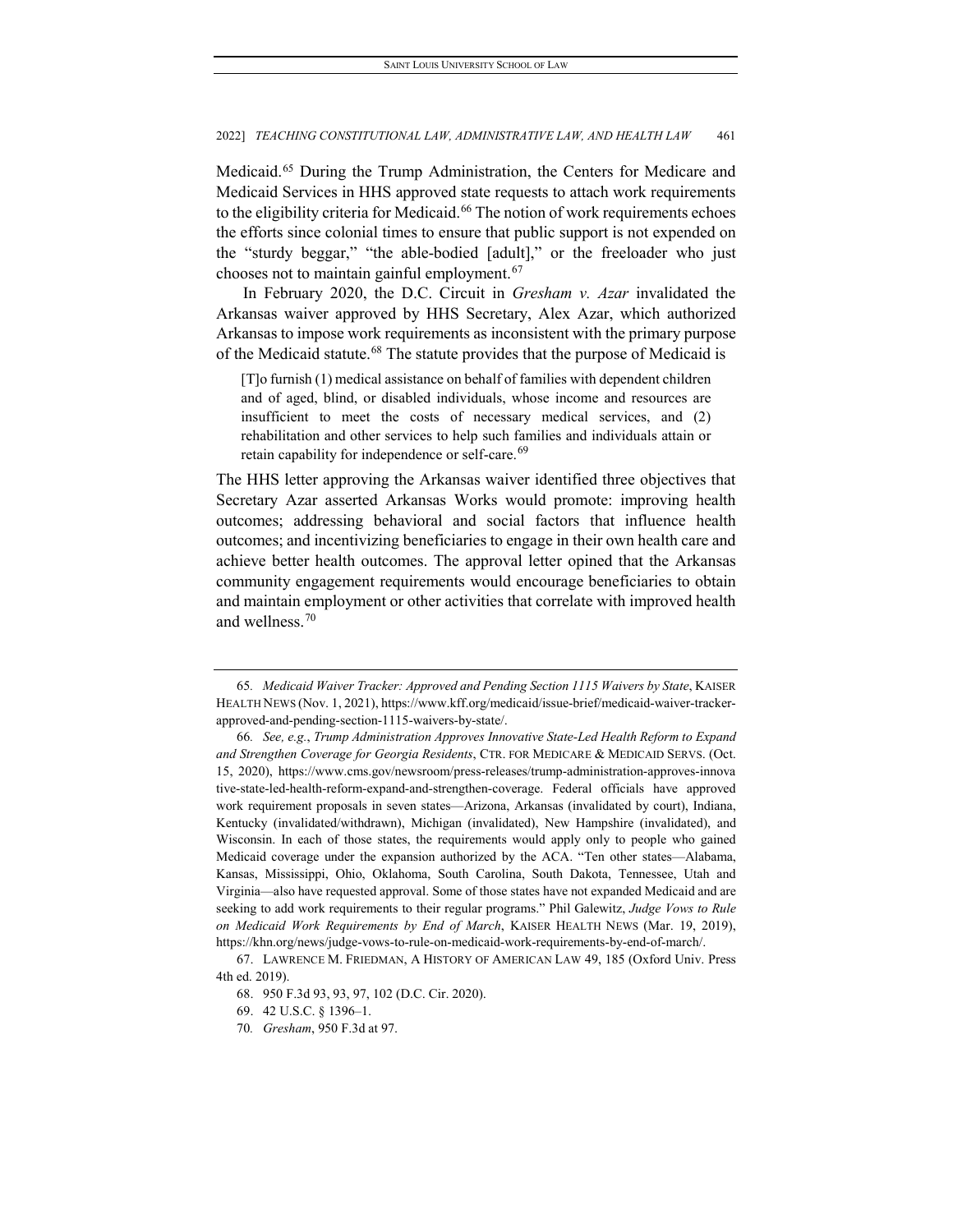Medicaid.[65](#page-13-0) During the Trump Administration, the Centers for Medicare and Medicaid Services in HHS approved state requests to attach work requirements to the eligibility criteria for Medicaid.<sup>[66](#page-13-1)</sup> The notion of work requirements echoes the efforts since colonial times to ensure that public support is not expended on the "sturdy beggar," "the able-bodied [adult]," or the freeloader who just chooses not to maintain gainful employment.[67](#page-13-2)

In February 2020, the D.C. Circuit in *Gresham v. Azar* invalidated the Arkansas waiver approved by HHS Secretary, Alex Azar, which authorized Arkansas to impose work requirements as inconsistent with the primary purpose of the Medicaid statute.<sup>[68](#page-13-3)</sup> The statute provides that the purpose of Medicaid is

[T]o furnish (1) medical assistance on behalf of families with dependent children and of aged, blind, or disabled individuals, whose income and resources are insufficient to meet the costs of necessary medical services, and (2) rehabilitation and other services to help such families and individuals attain or retain capability for independence or self-care.<sup>[69](#page-13-4)</sup>

The HHS letter approving the Arkansas waiver identified three objectives that Secretary Azar asserted Arkansas Works would promote: improving health outcomes; addressing behavioral and social factors that influence health outcomes; and incentivizing beneficiaries to engage in their own health care and achieve better health outcomes. The approval letter opined that the Arkansas community engagement requirements would encourage beneficiaries to obtain and maintain employment or other activities that correlate with improved health and wellness<sup>[70](#page-13-5)</sup>

<span id="page-13-0"></span><sup>65</sup>*. Medicaid Waiver Tracker: Approved and Pending Section 1115 Waivers by State*, KAISER HEALTH NEWS (Nov. 1, 2021), https://www.kff.org/medicaid/issue-brief/medicaid-waiver-trackerapproved-and-pending-section-1115-waivers-by-state/.

<span id="page-13-1"></span><sup>66</sup>*. See, e.g.*, *Trump Administration Approves Innovative State-Led Health Reform to Expand and Strengthen Coverage for Georgia Residents*, CTR. FOR MEDICARE & MEDICAID SERVS. (Oct. 15, 2020), https://www.cms.gov/newsroom/press-releases/trump-administration-approves-innova tive-state-led-health-reform-expand-and-strengthen-coverage. Federal officials have approved work requirement proposals in seven states—Arizona, Arkansas (invalidated by court), Indiana, Kentucky (invalidated/withdrawn), Michigan (invalidated), New Hampshire (invalidated), and Wisconsin. In each of those states, the requirements would apply only to people who gained Medicaid coverage under the expansion authorized by the ACA. "Ten other states—Alabama, Kansas, Mississippi, Ohio, Oklahoma, South Carolina, South Dakota, Tennessee, Utah and Virginia—also have requested approval. Some of those states have not expanded Medicaid and are seeking to add work requirements to their regular programs." Phil Galewitz, *Judge Vows to Rule on Medicaid Work Requirements by End of March*, KAISER HEALTH NEWS (Mar. 19, 2019), https://khn.org/news/judge-vows-to-rule-on-medicaid-work-requirements-by-end-of-march/.

<span id="page-13-5"></span><span id="page-13-4"></span><span id="page-13-3"></span><span id="page-13-2"></span><sup>67.</sup> LAWRENCE M. FRIEDMAN, A HISTORY OF AMERICAN LAW 49, 185 (Oxford Univ. Press 4th ed. 2019).

<sup>68.</sup> 950 F.3d 93, 93, 97, 102 (D.C. Cir. 2020).

<sup>69.</sup> 42 U.S.C. § 1396–1.

<sup>70</sup>*. Gresham*, 950 F.3d at 97.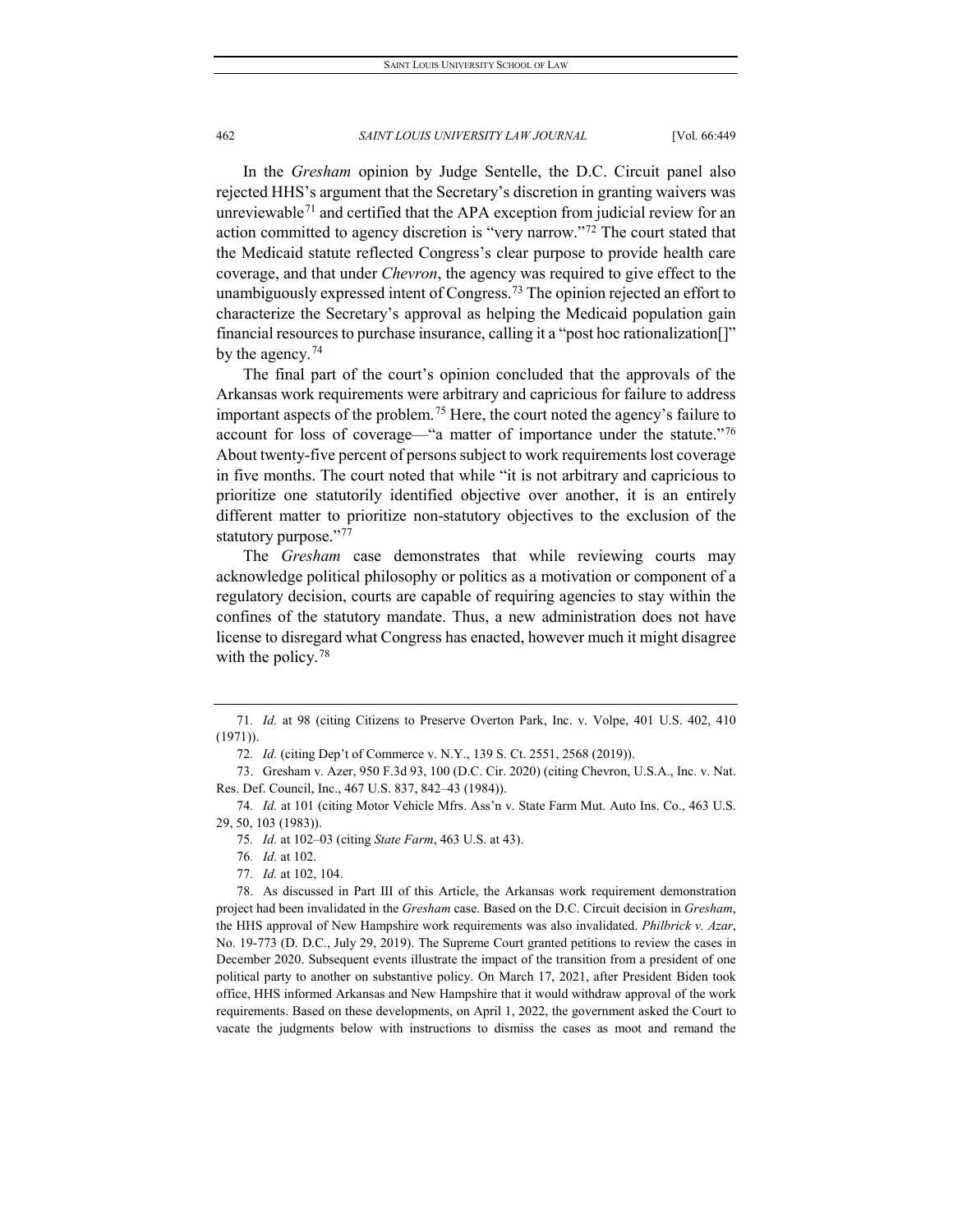In the *Gresham* opinion by Judge Sentelle, the D.C. Circuit panel also rejected HHS's argument that the Secretary's discretion in granting waivers was unreviewable<sup>[71](#page-14-0)</sup> and certified that the APA exception from judicial review for an action committed to agency discretion is "very narrow."[72](#page-14-1) The court stated that the Medicaid statute reflected Congress's clear purpose to provide health care coverage, and that under *Chevron*, the agency was required to give effect to the unambiguously expressed intent of Congress.<sup>[73](#page-14-2)</sup> The opinion rejected an effort to characterize the Secretary's approval as helping the Medicaid population gain financial resources to purchase insurance, calling it a "post hoc rationalization[]" by the agency.  $74$ 

The final part of the court's opinion concluded that the approvals of the Arkansas work requirements were arbitrary and capricious for failure to address important aspects of the problem.[75](#page-14-4) Here, the court noted the agency's failure to account for loss of coverage—"a matter of importance under the statute."<sup>[76](#page-14-5)</sup> About twenty-five percent of persons subject to work requirements lost coverage in five months. The court noted that while "it is not arbitrary and capricious to prioritize one statutorily identified objective over another, it is an entirely different matter to prioritize non-statutory objectives to the exclusion of the statutory purpose."[77](#page-14-6)

The *Gresham* case demonstrates that while reviewing courts may acknowledge political philosophy or politics as a motivation or component of a regulatory decision, courts are capable of requiring agencies to stay within the confines of the statutory mandate. Thus, a new administration does not have license to disregard what Congress has enacted, however much it might disagree with the policy.<sup>[78](#page-14-7)</sup>

76*. Id.* at 102.

<span id="page-14-0"></span><sup>71</sup>*. Id.* at 98 (citing Citizens to Preserve Overton Park, Inc. v. Volpe, 401 U.S. 402, 410 (1971)).

<sup>72</sup>*. Id.* (citing Dep't of Commerce v. N.Y., 139 S. Ct. 2551, 2568 (2019)).

<span id="page-14-2"></span><span id="page-14-1"></span><sup>73.</sup> Gresham v. Azer, 950 F.3d 93, 100 (D.C. Cir. 2020) (citing Chevron, U.S.A., Inc. v. Nat. Res. Def. Council, Inc., 467 U.S. 837, 842–43 (1984)).

<span id="page-14-4"></span><span id="page-14-3"></span><sup>74</sup>*. Id.* at 101 (citing Motor Vehicle Mfrs. Ass'n v. State Farm Mut. Auto Ins. Co., 463 U.S. 29, 50, 103 (1983)).

<sup>75</sup>*. Id.* at 102–03 (citing *State Farm*, 463 U.S. at 43).

<sup>77</sup>*. Id.* at 102, 104.

<span id="page-14-7"></span><span id="page-14-6"></span><span id="page-14-5"></span><sup>78.</sup> As discussed in Part III of this Article, the Arkansas work requirement demonstration project had been invalidated in the *Gresham* case. Based on the D.C. Circuit decision in *Gresham*, the HHS approval of New Hampshire work requirements was also invalidated. *Philbrick v. Azar*, No. 19-773 (D. D.C., July 29, 2019). The Supreme Court granted petitions to review the cases in December 2020. Subsequent events illustrate the impact of the transition from a president of one political party to another on substantive policy. On March 17, 2021, after President Biden took office, HHS informed Arkansas and New Hampshire that it would withdraw approval of the work requirements. Based on these developments, on April 1, 2022, the government asked the Court to vacate the judgments below with instructions to dismiss the cases as moot and remand the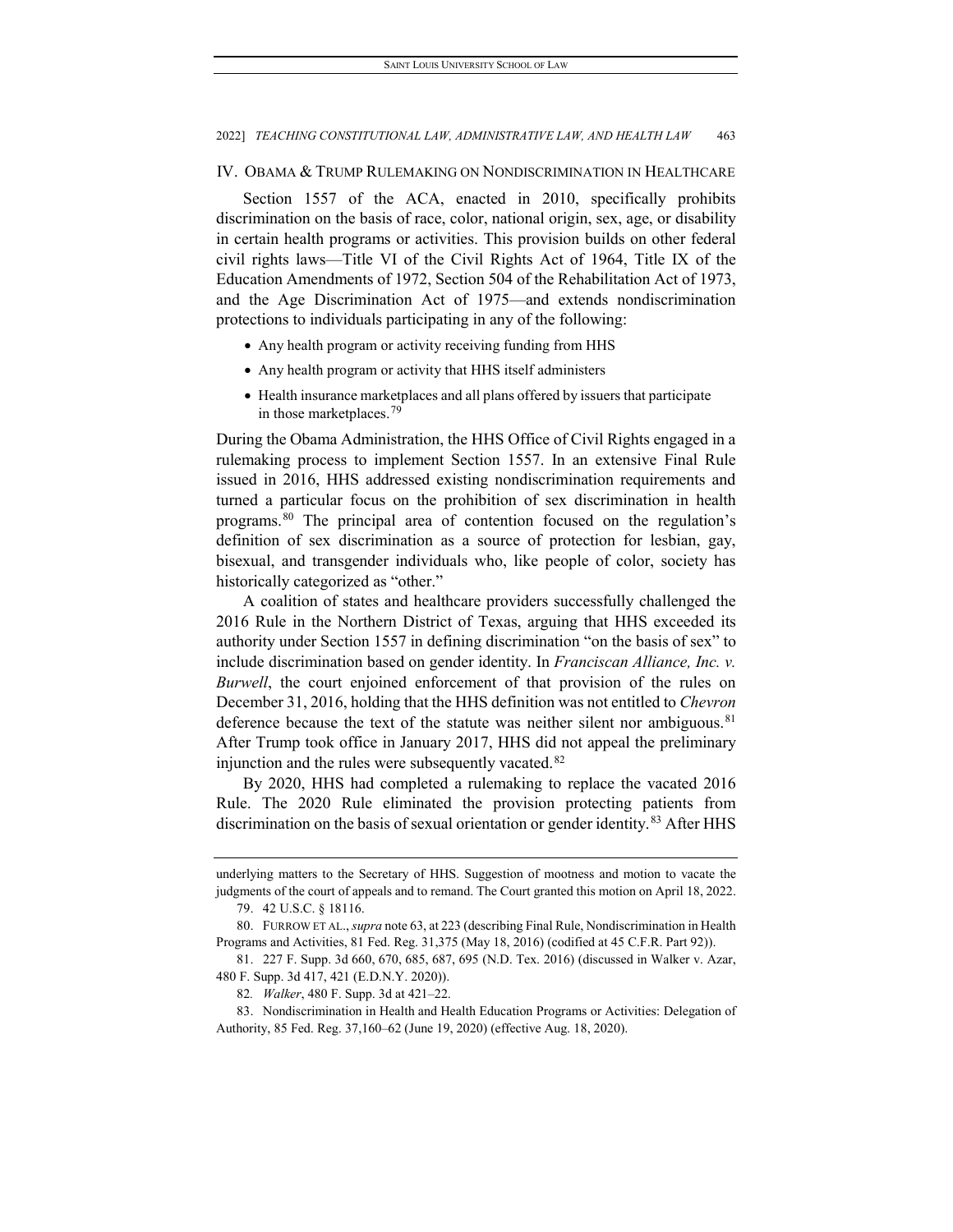#### IV. OBAMA & TRUMP RULEMAKING ON NONDISCRIMINATION IN HEALTHCARE

Section 1557 of the ACA, enacted in 2010, specifically prohibits discrimination on the basis of race, color, national origin, sex, age, or disability in certain health programs or activities. This provision builds on other federal civil rights laws—Title VI of the Civil Rights Act of 1964, Title IX of the Education Amendments of 1972, Section 504 of the Rehabilitation Act of 1973, and the Age Discrimination Act of 1975—and extends nondiscrimination protections to individuals participating in any of the following:

- Any health program or activity receiving funding from HHS
- Any health program or activity that HHS itself administers
- Health insurance marketplaces and all plans offered by issuers that participate in those marketplaces.<sup>[79](#page-15-0)</sup>

During the Obama Administration, the HHS Office of Civil Rights engaged in a rulemaking process to implement Section 1557. In an extensive Final Rule issued in 2016, HHS addressed existing nondiscrimination requirements and turned a particular focus on the prohibition of sex discrimination in health programs.[80](#page-15-1) The principal area of contention focused on the regulation's definition of sex discrimination as a source of protection for lesbian, gay, bisexual, and transgender individuals who, like people of color, society has historically categorized as "other."

A coalition of states and healthcare providers successfully challenged the 2016 Rule in the Northern District of Texas, arguing that HHS exceeded its authority under Section 1557 in defining discrimination "on the basis of sex" to include discrimination based on gender identity. In *Franciscan Alliance, Inc. v. Burwell*, the court enjoined enforcement of that provision of the rules on December 31, 2016, holding that the HHS definition was not entitled to *Chevron* deference because the text of the statute was neither silent nor ambiguous.<sup>[81](#page-15-2)</sup> After Trump took office in January 2017, HHS did not appeal the preliminary injunction and the rules were subsequently vacated.<sup>[82](#page-15-3)</sup>

By 2020, HHS had completed a rulemaking to replace the vacated 2016 Rule. The 2020 Rule eliminated the provision protecting patients from discrimination on the basis of sexual orientation or gender identity.<sup>[83](#page-15-4)</sup> After HHS

underlying matters to the Secretary of HHS. Suggestion of mootness and motion to vacate the judgments of the court of appeals and to remand. The Court granted this motion on April 18, 2022. 79. 42 U.S.C. § 18116.

<span id="page-15-3"></span><span id="page-15-2"></span><span id="page-15-1"></span><span id="page-15-0"></span><sup>80.</sup> FURROW ET AL., *supra* note 63, at 223 (describing Final Rule, Nondiscrimination in Health Programs and Activities, 81 Fed. Reg. 31,375 (May 18, 2016) (codified at 45 C.F.R. Part 92)).

<sup>81.</sup> 227 F. Supp. 3d 660, 670, 685, 687, 695 (N.D. Tex. 2016) (discussed in Walker v. Azar, 480 F. Supp. 3d 417, 421 (E.D.N.Y. 2020)).

<sup>82</sup>*. Walker*, 480 F. Supp. 3d at 421–22.

<span id="page-15-4"></span><sup>83.</sup> Nondiscrimination in Health and Health Education Programs or Activities: Delegation of Authority, 85 Fed. Reg. 37,160–62 (June 19, 2020) (effective Aug. 18, 2020).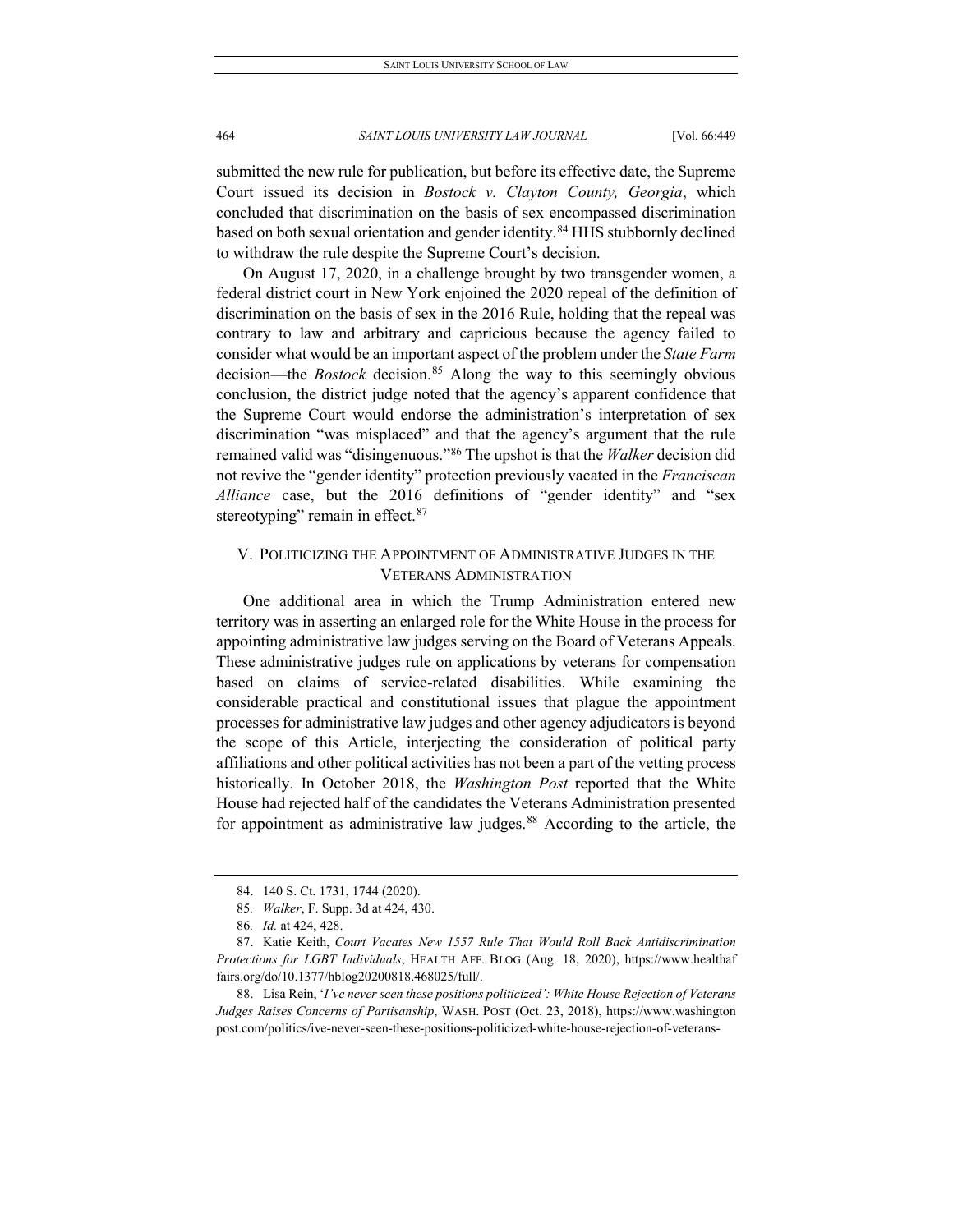submitted the new rule for publication, but before its effective date, the Supreme Court issued its decision in *Bostock v. Clayton County, Georgia*, which concluded that discrimination on the basis of sex encompassed discrimination based on both sexual orientation and gender identity.<sup>[84](#page-16-0)</sup> HHS stubbornly declined to withdraw the rule despite the Supreme Court's decision.

On August 17, 2020, in a challenge brought by two transgender women, a federal district court in New York enjoined the 2020 repeal of the definition of discrimination on the basis of sex in the 2016 Rule, holding that the repeal was contrary to law and arbitrary and capricious because the agency failed to consider what would be an important aspect of the problem under the *State Farm* decision—the *Bostock* decision.<sup>[85](#page-16-1)</sup> Along the way to this seemingly obvious conclusion, the district judge noted that the agency's apparent confidence that the Supreme Court would endorse the administration's interpretation of sex discrimination "was misplaced" and that the agency's argument that the rule remained valid was "disingenuous."[86](#page-16-2) The upshot is that the *Walker* decision did not revive the "gender identity" protection previously vacated in the *Franciscan Alliance* case, but the 2016 definitions of "gender identity" and "sex stereotyping" remain in effect.<sup>[87](#page-16-3)</sup>

## V. POLITICIZING THE APPOINTMENT OF ADMINISTRATIVE JUDGES IN THE VETERANS ADMINISTRATION

One additional area in which the Trump Administration entered new territory was in asserting an enlarged role for the White House in the process for appointing administrative law judges serving on the Board of Veterans Appeals. These administrative judges rule on applications by veterans for compensation based on claims of service-related disabilities. While examining the considerable practical and constitutional issues that plague the appointment processes for administrative law judges and other agency adjudicators is beyond the scope of this Article, interjecting the consideration of political party affiliations and other political activities has not been a part of the vetting process historically. In October 2018, the *Washington Post* reported that the White House had rejected half of the candidates the Veterans Administration presented for appointment as administrative law judges.<sup>[88](#page-16-4)</sup> According to the article, the

<span id="page-16-4"></span>88. Lisa Rein, '*I've never seen these positions politicized': White House Rejection of Veterans Judges Raises Concerns of Partisanship*, WASH. POST (Oct. 23, 2018), https://www.washington post.com/politics/ive-never-seen-these-positions-politicized-white-house-rejection-of-veterans-

<sup>84.</sup> 140 S. Ct. 1731, 1744 (2020).

<sup>85</sup>*. Walker*, F. Supp. 3d at 424, 430.

<sup>86</sup>*. Id.* at 424, 428.

<span id="page-16-3"></span><span id="page-16-2"></span><span id="page-16-1"></span><span id="page-16-0"></span><sup>87.</sup> Katie Keith, *Court Vacates New 1557 Rule That Would Roll Back Antidiscrimination Protections for LGBT Individuals*, HEALTH AFF. BLOG (Aug. 18, 2020), https://www.healthaf fairs.org/do/10.1377/hblog20200818.468025/full/.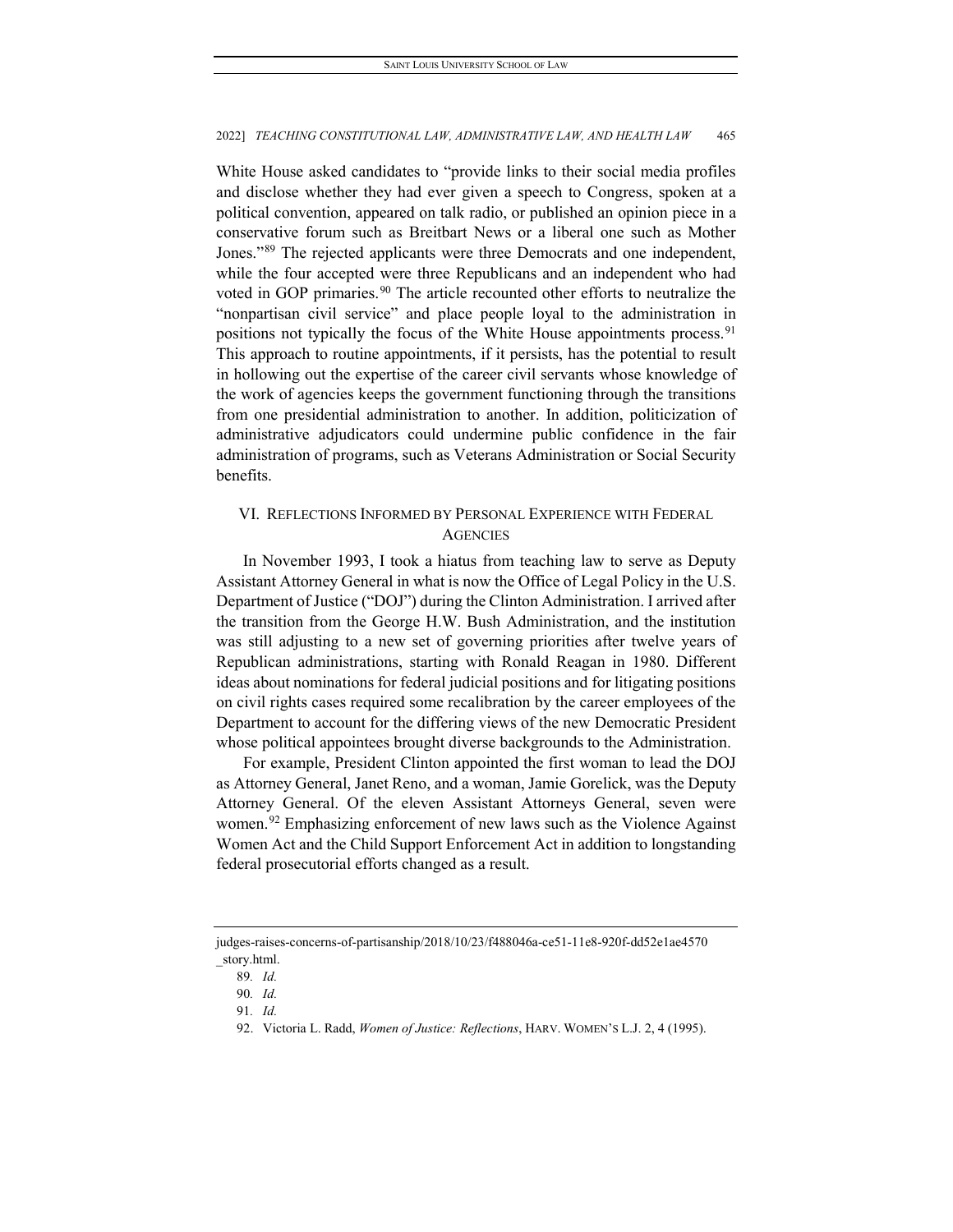White House asked candidates to "provide links to their social media profiles and disclose whether they had ever given a speech to Congress, spoken at a political convention, appeared on talk radio, or published an opinion piece in a conservative forum such as Breitbart News or a liberal one such as Mother Jones."[89](#page-17-0) The rejected applicants were three Democrats and one independent, while the four accepted were three Republicans and an independent who had voted in GOP primaries.<sup>[90](#page-17-1)</sup> The article recounted other efforts to neutralize the "nonpartisan civil service" and place people loyal to the administration in positions not typically the focus of the White House appointments process.<sup>[91](#page-17-2)</sup> This approach to routine appointments, if it persists, has the potential to result in hollowing out the expertise of the career civil servants whose knowledge of the work of agencies keeps the government functioning through the transitions from one presidential administration to another. In addition, politicization of administrative adjudicators could undermine public confidence in the fair administration of programs, such as Veterans Administration or Social Security benefits.

## VI. REFLECTIONS INFORMED BY PERSONAL EXPERIENCE WITH FEDERAL **AGENCIES**

In November 1993, I took a hiatus from teaching law to serve as Deputy Assistant Attorney General in what is now the Office of Legal Policy in the U.S. Department of Justice ("DOJ") during the Clinton Administration. I arrived after the transition from the George H.W. Bush Administration, and the institution was still adjusting to a new set of governing priorities after twelve years of Republican administrations, starting with Ronald Reagan in 1980. Different ideas about nominations for federal judicial positions and for litigating positions on civil rights cases required some recalibration by the career employees of the Department to account for the differing views of the new Democratic President whose political appointees brought diverse backgrounds to the Administration.

For example, President Clinton appointed the first woman to lead the DOJ as Attorney General, Janet Reno, and a woman, Jamie Gorelick, was the Deputy Attorney General. Of the eleven Assistant Attorneys General, seven were women.<sup>[92](#page-17-3)</sup> Emphasizing enforcement of new laws such as the Violence Against Women Act and the Child Support Enforcement Act in addition to longstanding federal prosecutorial efforts changed as a result.

<span id="page-17-3"></span><span id="page-17-2"></span><span id="page-17-1"></span><span id="page-17-0"></span>judges-raises-concerns-of-partisanship/2018/10/23/f488046a-ce51-11e8-920f-dd52e1ae4570 \_story.html.

<sup>89</sup>*. Id.*

<sup>90</sup>*. Id.*

<sup>91</sup>*. Id.*

<sup>92.</sup> Victoria L. Radd, *Women of Justice: Reflections*, HARV. WOMEN'S L.J. 2, 4 (1995).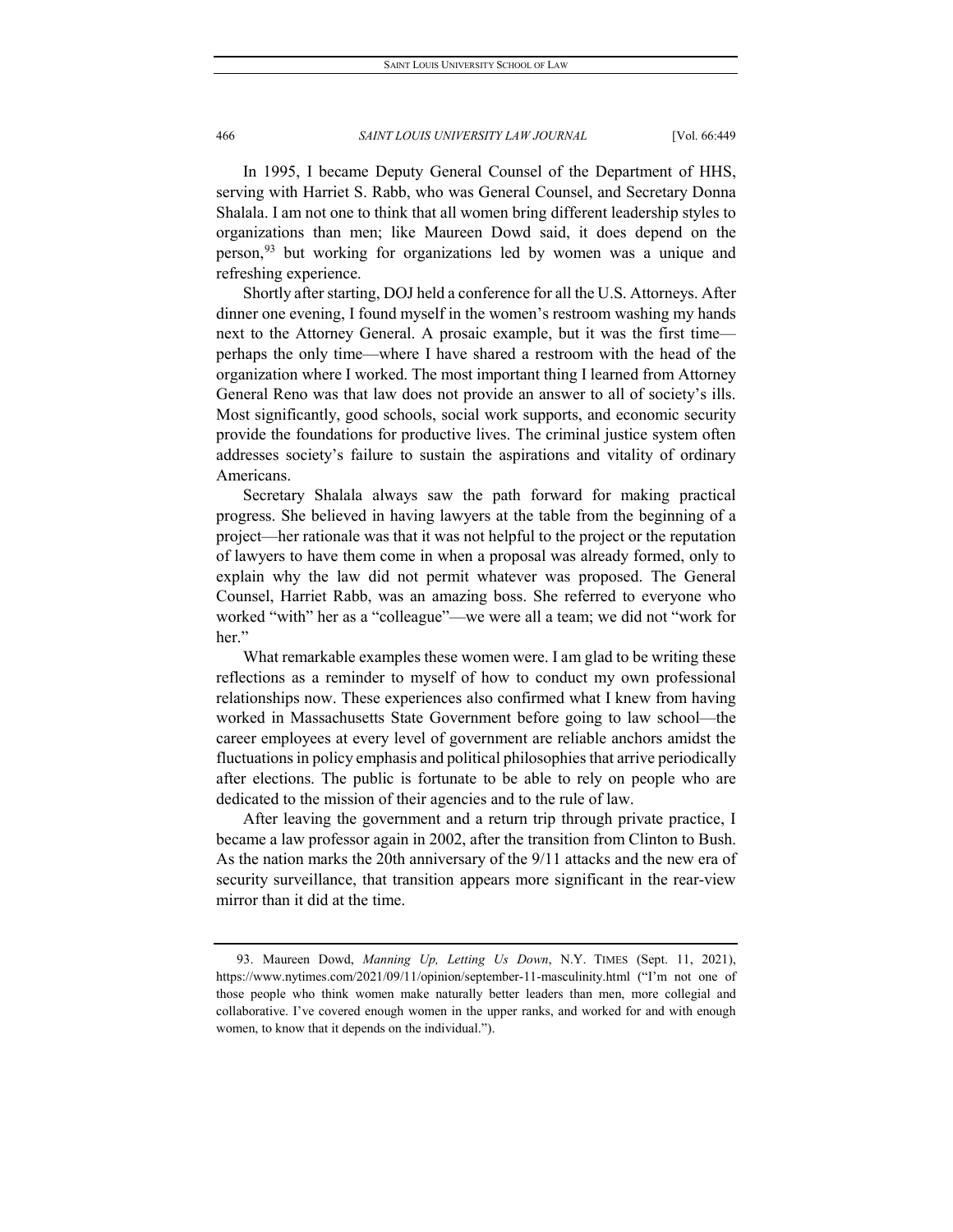In 1995, I became Deputy General Counsel of the Department of HHS, serving with Harriet S. Rabb, who was General Counsel, and Secretary Donna Shalala. I am not one to think that all women bring different leadership styles to organizations than men; like Maureen Dowd said, it does depend on the person,<sup>[93](#page-18-0)</sup> but working for organizations led by women was a unique and refreshing experience.

Shortly after starting, DOJ held a conference for all the U.S. Attorneys. After dinner one evening, I found myself in the women's restroom washing my hands next to the Attorney General. A prosaic example, but it was the first time perhaps the only time—where I have shared a restroom with the head of the organization where I worked. The most important thing I learned from Attorney General Reno was that law does not provide an answer to all of society's ills. Most significantly, good schools, social work supports, and economic security provide the foundations for productive lives. The criminal justice system often addresses society's failure to sustain the aspirations and vitality of ordinary Americans.

Secretary Shalala always saw the path forward for making practical progress. She believed in having lawyers at the table from the beginning of a project—her rationale was that it was not helpful to the project or the reputation of lawyers to have them come in when a proposal was already formed, only to explain why the law did not permit whatever was proposed. The General Counsel, Harriet Rabb, was an amazing boss. She referred to everyone who worked "with" her as a "colleague"—we were all a team; we did not "work for her."

What remarkable examples these women were. I am glad to be writing these reflections as a reminder to myself of how to conduct my own professional relationships now. These experiences also confirmed what I knew from having worked in Massachusetts State Government before going to law school—the career employees at every level of government are reliable anchors amidst the fluctuations in policy emphasis and political philosophies that arrive periodically after elections. The public is fortunate to be able to rely on people who are dedicated to the mission of their agencies and to the rule of law.

After leaving the government and a return trip through private practice, I became a law professor again in 2002, after the transition from Clinton to Bush. As the nation marks the 20th anniversary of the 9/11 attacks and the new era of security surveillance, that transition appears more significant in the rear-view mirror than it did at the time.

<span id="page-18-0"></span><sup>93.</sup> Maureen Dowd, *Manning Up, Letting Us Down*, N.Y. TIMES (Sept. 11, 2021), https://www.nytimes.com/2021/09/11/opinion/september-11-masculinity.html ("I'm not one of those people who think women make naturally better leaders than men, more collegial and collaborative. I've covered enough women in the upper ranks, and worked for and with enough women, to know that it depends on the individual.").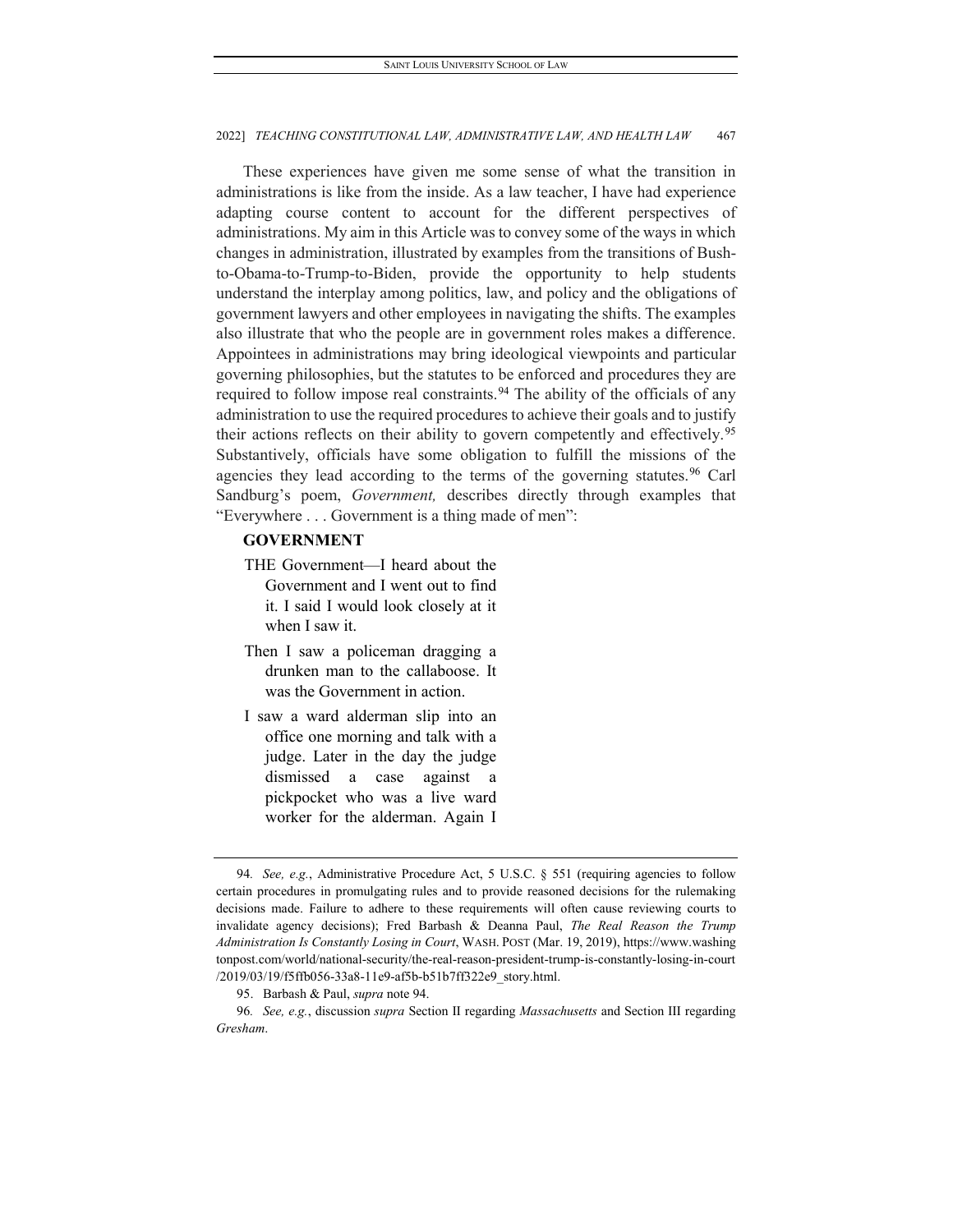These experiences have given me some sense of what the transition in administrations is like from the inside. As a law teacher, I have had experience adapting course content to account for the different perspectives of administrations. My aim in this Article was to convey some of the ways in which changes in administration, illustrated by examples from the transitions of Bushto-Obama-to-Trump-to-Biden, provide the opportunity to help students understand the interplay among politics, law, and policy and the obligations of government lawyers and other employees in navigating the shifts. The examples also illustrate that who the people are in government roles makes a difference. Appointees in administrations may bring ideological viewpoints and particular governing philosophies, but the statutes to be enforced and procedures they are required to follow impose real constraints.<sup>[94](#page-19-0)</sup> The ability of the officials of any administration to use the required procedures to achieve their goals and to justify their actions reflects on their ability to govern competently and effectively.<sup>[95](#page-19-1)</sup> Substantively, officials have some obligation to fulfill the missions of the agencies they lead according to the terms of the governing statutes.<sup>[96](#page-19-2)</sup> Carl Sandburg's poem, *Government,* describes directly through examples that "Everywhere . . . Government is a thing made of men":

## **GOVERNMENT**

- THE Government—I heard about the Government and I went out to find it. I said I would look closely at it when I saw it.
- Then I saw a policeman dragging a drunken man to the callaboose. It was the Government in action.
- I saw a ward alderman slip into an office one morning and talk with a judge. Later in the day the judge dismissed a case against a pickpocket who was a live ward worker for the alderman. Again I

<span id="page-19-0"></span><sup>94</sup>*. See, e.g.*, Administrative Procedure Act, 5 U.S.C. § 551 (requiring agencies to follow certain procedures in promulgating rules and to provide reasoned decisions for the rulemaking decisions made. Failure to adhere to these requirements will often cause reviewing courts to invalidate agency decisions); Fred Barbash & Deanna Paul, *The Real Reason the Trump Administration Is Constantly Losing in Court*, WASH. POST (Mar. 19, 2019), https://www.washing tonpost.com/world/national-security/the-real-reason-president-trump-is-constantly-losing-in-court /2019/03/19/f5ffb056-33a8-11e9-af5b-b51b7ff322e9\_story.html.

<sup>95.</sup> Barbash & Paul, *supra* note 94.

<span id="page-19-2"></span><span id="page-19-1"></span><sup>96</sup>*. See, e.g.*, discussion *supra* Section II regarding *Massachusetts* and Section III regarding *Gresham*.